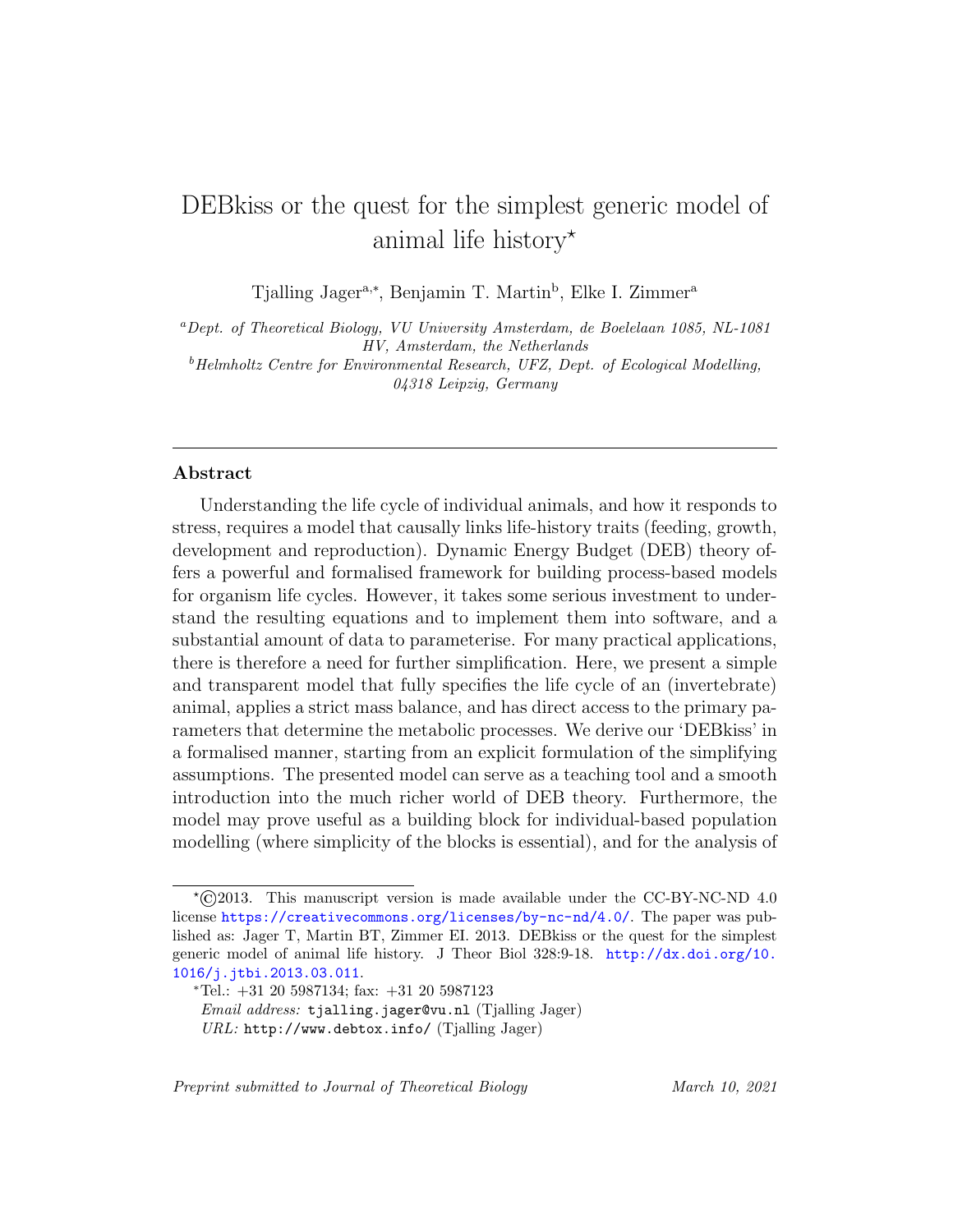# DEBkiss or the quest for the simplest generic model of animal life history<sup>\*</sup>

Tjalling Jager<sup>a,∗</sup>, Benjamin T. Martin<sup>b</sup>, Elke I. Zimmer<sup>a</sup>

<sup>a</sup>Dept. of Theoretical Biology, VU University Amsterdam, de Boelelaan 1085, NL-1081 HV, Amsterdam, the Netherlands  $^{b}$ Helmholtz Centre for Environmental Research, UFZ, Dept. of Ecological Modelling,

04318 Leipzig, Germany

# Abstract

Understanding the life cycle of individual animals, and how it responds to stress, requires a model that causally links life-history traits (feeding, growth, development and reproduction). Dynamic Energy Budget (DEB) theory offers a powerful and formalised framework for building process-based models for organism life cycles. However, it takes some serious investment to understand the resulting equations and to implement them into software, and a substantial amount of data to parameterise. For many practical applications, there is therefore a need for further simplification. Here, we present a simple and transparent model that fully specifies the life cycle of an (invertebrate) animal, applies a strict mass balance, and has direct access to the primary parameters that determine the metabolic processes. We derive our 'DEBkiss' in a formalised manner, starting from an explicit formulation of the simplifying assumptions. The presented model can serve as a teaching tool and a smooth introduction into the much richer world of DEB theory. Furthermore, the model may prove useful as a building block for individual-based population modelling (where simplicity of the blocks is essential), and for the analysis of

Preprint submitted to Journal of Theoretical Biology March 10, 2021

 $*$ ©2013. This manuscript version is made available under the CC-BY-NC-ND 4.0 license <https://creativecommons.org/licenses/by-nc-nd/4.0/>. The paper was published as: Jager T, Martin BT, Zimmer EI. 2013. DEBkiss or the quest for the simplest generic model of animal life history. J Theor Biol 328:9-18. [http://dx.doi.org/10.](http://dx.doi.org/10.1016/j.jtbi.2013.03.011) [1016/j.jtbi.2013.03.011](http://dx.doi.org/10.1016/j.jtbi.2013.03.011).

<sup>∗</sup>Tel.: +31 20 5987134; fax: +31 20 5987123 Email address: tjalling.jager@vu.nl (Tjalling Jager) URL: http://www.debtox.info/ (Tjalling Jager)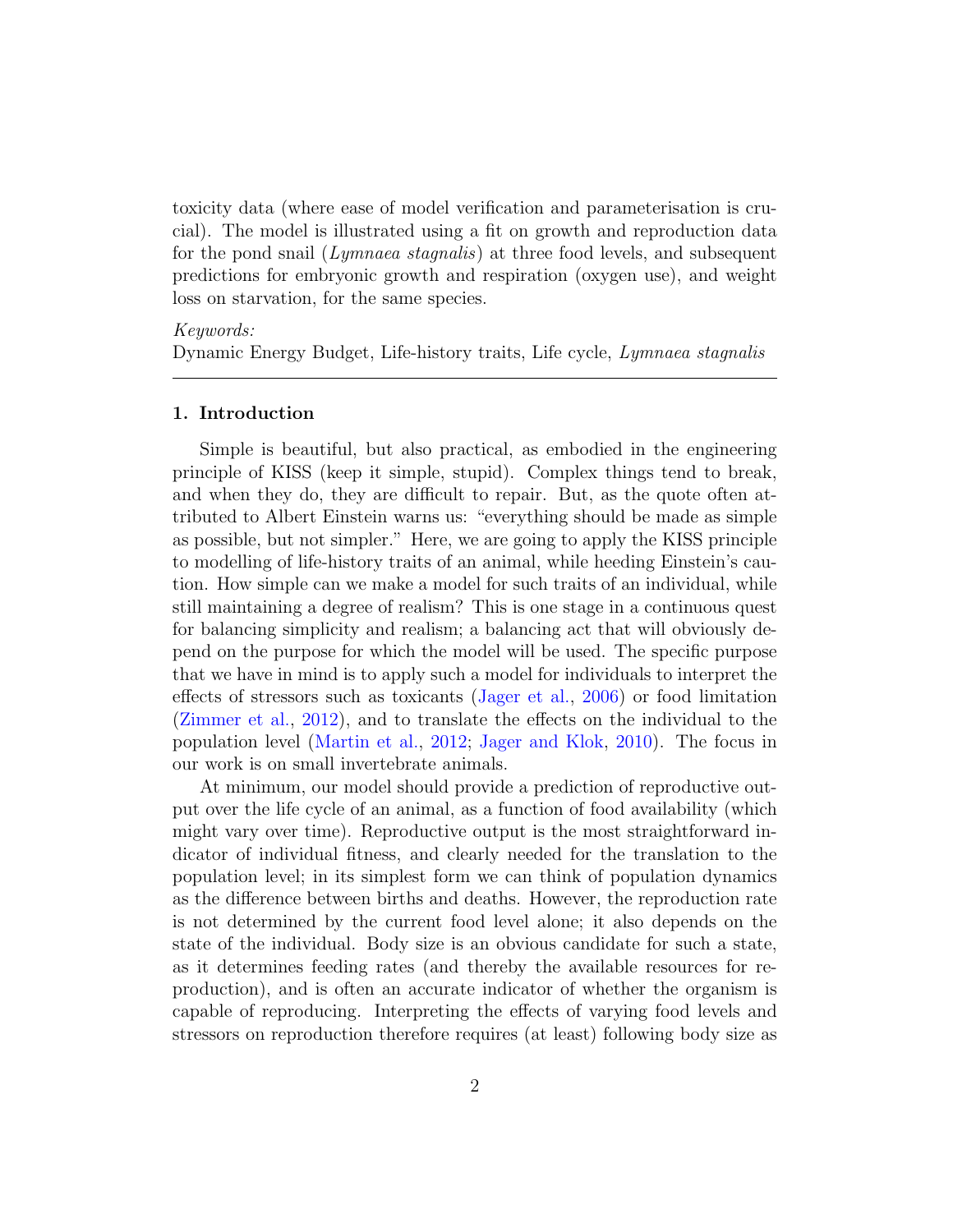toxicity data (where ease of model verification and parameterisation is crucial). The model is illustrated using a fit on growth and reproduction data for the pond snail (Lymnaea stagnalis) at three food levels, and subsequent predictions for embryonic growth and respiration (oxygen use), and weight loss on starvation, for the same species.

## Keywords:

Dynamic Energy Budget, Life-history traits, Life cycle, Lymnaea stagnalis

## 1. Introduction

Simple is beautiful, but also practical, as embodied in the engineering principle of KISS (keep it simple, stupid). Complex things tend to break, and when they do, they are difficult to repair. But, as the quote often attributed to Albert Einstein warns us: "everything should be made as simple as possible, but not simpler." Here, we are going to apply the KISS principle to modelling of life-history traits of an animal, while heeding Einstein's caution. How simple can we make a model for such traits of an individual, while still maintaining a degree of realism? This is one stage in a continuous quest for balancing simplicity and realism; a balancing act that will obviously depend on the purpose for which the model will be used. The specific purpose that we have in mind is to apply such a model for individuals to interpret the effects of stressors such as toxicants [\(Jager et al.,](#page-25-0) [2006\)](#page-25-0) or food limitation [\(Zimmer et al.,](#page-27-0) [2012\)](#page-27-0), and to translate the effects on the individual to the population level [\(Martin et al.,](#page-26-0) [2012;](#page-26-0) [Jager and Klok,](#page-25-1) [2010\)](#page-25-1). The focus in our work is on small invertebrate animals.

At minimum, our model should provide a prediction of reproductive output over the life cycle of an animal, as a function of food availability (which might vary over time). Reproductive output is the most straightforward indicator of individual fitness, and clearly needed for the translation to the population level; in its simplest form we can think of population dynamics as the difference between births and deaths. However, the reproduction rate is not determined by the current food level alone; it also depends on the state of the individual. Body size is an obvious candidate for such a state, as it determines feeding rates (and thereby the available resources for reproduction), and is often an accurate indicator of whether the organism is capable of reproducing. Interpreting the effects of varying food levels and stressors on reproduction therefore requires (at least) following body size as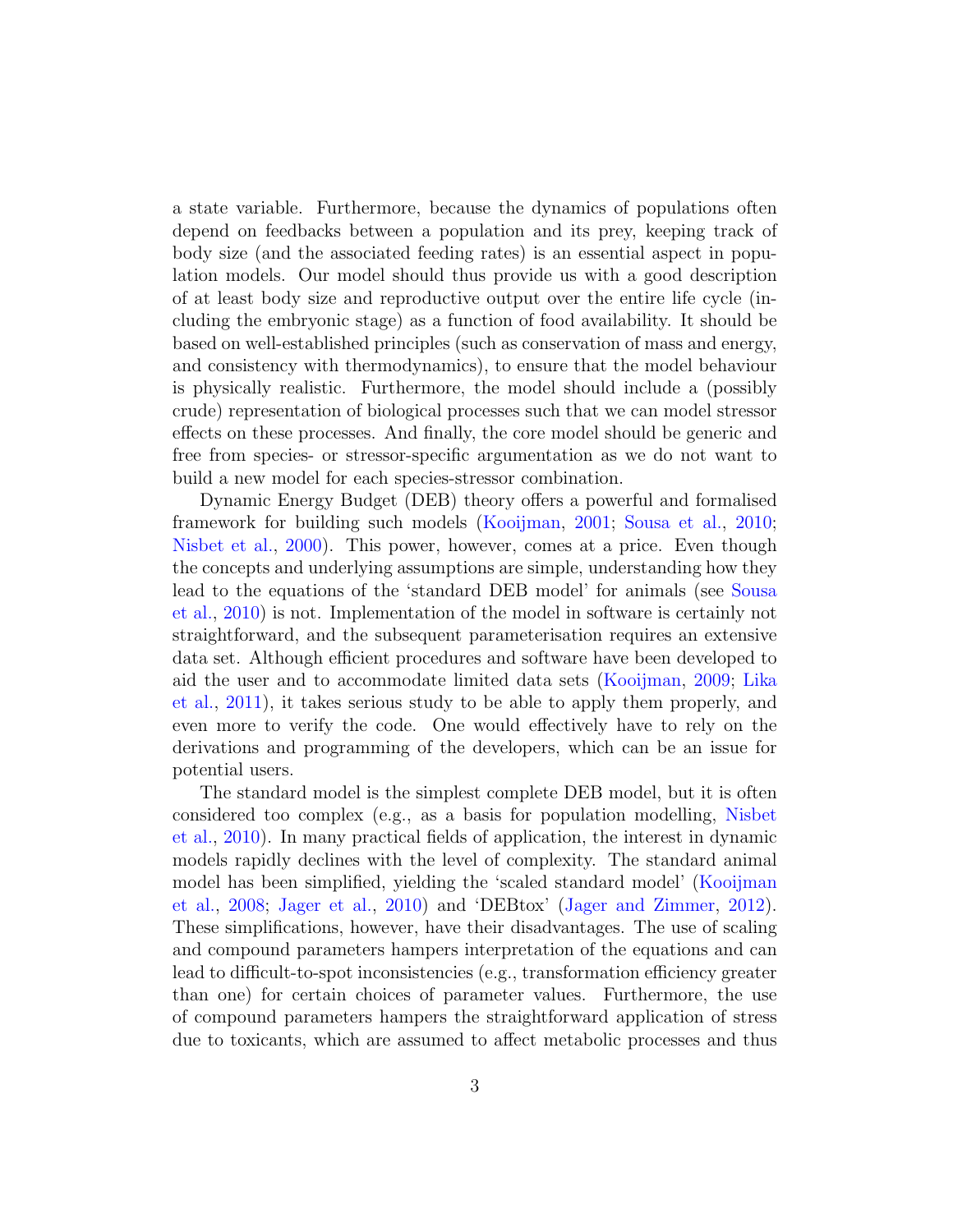a state variable. Furthermore, because the dynamics of populations often depend on feedbacks between a population and its prey, keeping track of body size (and the associated feeding rates) is an essential aspect in population models. Our model should thus provide us with a good description of at least body size and reproductive output over the entire life cycle (including the embryonic stage) as a function of food availability. It should be based on well-established principles (such as conservation of mass and energy, and consistency with thermodynamics), to ensure that the model behaviour is physically realistic. Furthermore, the model should include a (possibly crude) representation of biological processes such that we can model stressor effects on these processes. And finally, the core model should be generic and free from species- or stressor-specific argumentation as we do not want to build a new model for each species-stressor combination.

Dynamic Energy Budget (DEB) theory offers a powerful and formalised framework for building such models [\(Kooijman,](#page-25-2) [2001;](#page-25-2) [Sousa et al.,](#page-27-1) [2010;](#page-27-1) [Nisbet et al.,](#page-27-2) [2000\)](#page-27-2). This power, however, comes at a price. Even though the concepts and underlying assumptions are simple, understanding how they lead to the equations of the 'standard DEB model' for animals (see [Sousa](#page-27-1) [et al.,](#page-27-1) [2010\)](#page-27-1) is not. Implementation of the model in software is certainly not straightforward, and the subsequent parameterisation requires an extensive data set. Although efficient procedures and software have been developed to aid the user and to accommodate limited data sets [\(Kooijman,](#page-26-1) [2009;](#page-26-1) [Lika](#page-26-2) [et al.,](#page-26-2) [2011\)](#page-26-2), it takes serious study to be able to apply them properly, and even more to verify the code. One would effectively have to rely on the derivations and programming of the developers, which can be an issue for potential users.

The standard model is the simplest complete DEB model, but it is often considered too complex (e.g., as a basis for population modelling, [Nisbet](#page-27-3) [et al.,](#page-27-3) [2010\)](#page-27-3). In many practical fields of application, the interest in dynamic models rapidly declines with the level of complexity. The standard animal model has been simplified, yielding the 'scaled standard model' [\(Kooijman](#page-26-3) [et al.,](#page-26-3) [2008;](#page-26-3) [Jager et al.,](#page-25-3) [2010\)](#page-25-3) and 'DEBtox' [\(Jager and Zimmer,](#page-25-4) [2012\)](#page-25-4). These simplifications, however, have their disadvantages. The use of scaling and compound parameters hampers interpretation of the equations and can lead to difficult-to-spot inconsistencies (e.g., transformation efficiency greater than one) for certain choices of parameter values. Furthermore, the use of compound parameters hampers the straightforward application of stress due to toxicants, which are assumed to affect metabolic processes and thus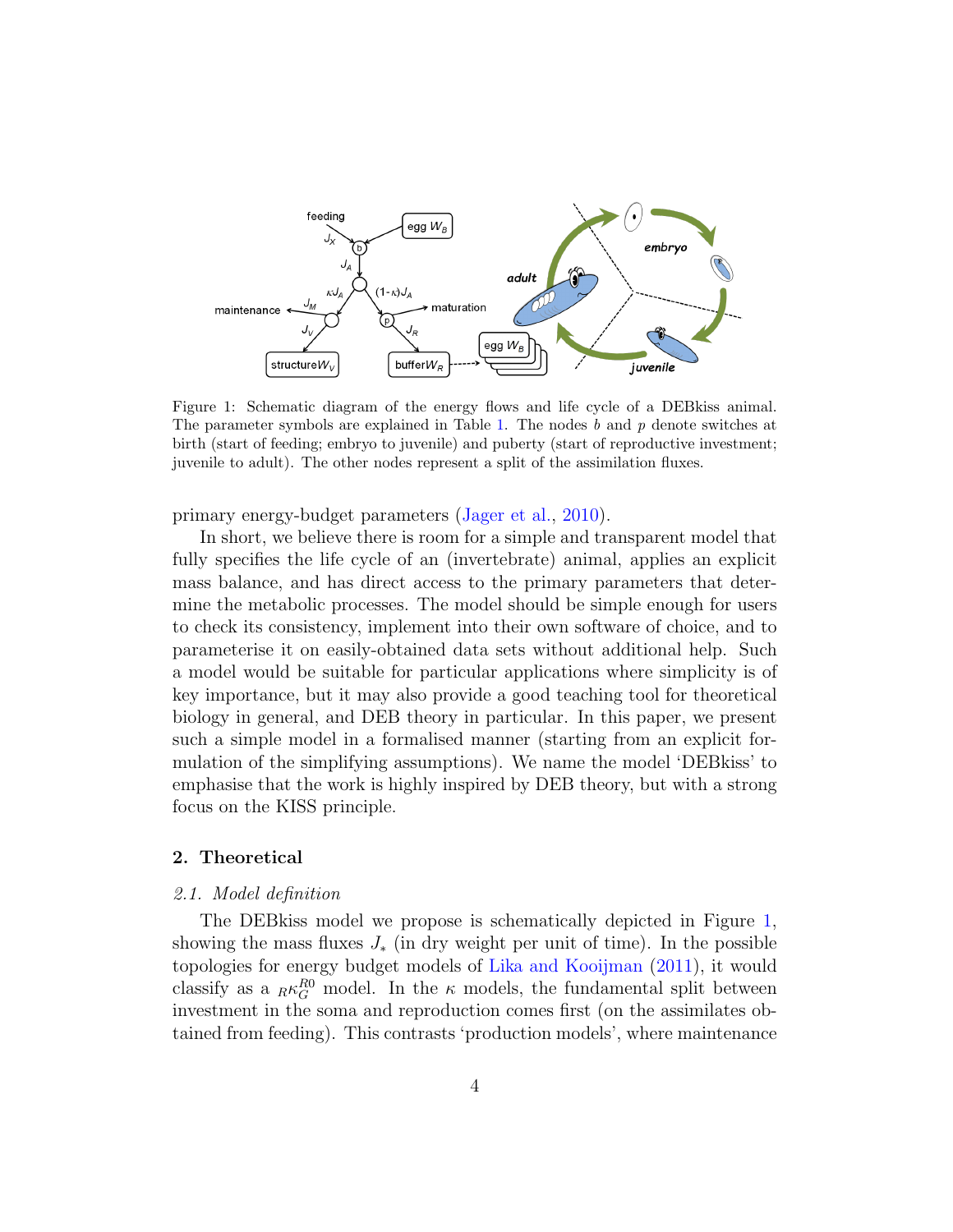

<span id="page-3-0"></span>Figure 1: Schematic diagram of the energy flows and life cycle of a DEBkiss animal. The parameter symbols are explained in Table [1.](#page-4-0) The nodes b and p denote switches at birth (start of feeding; embryo to juvenile) and puberty (start of reproductive investment; juvenile to adult). The other nodes represent a split of the assimilation fluxes.

primary energy-budget parameters [\(Jager et al.,](#page-25-3) [2010\)](#page-25-3).

In short, we believe there is room for a simple and transparent model that fully specifies the life cycle of an (invertebrate) animal, applies an explicit mass balance, and has direct access to the primary parameters that determine the metabolic processes. The model should be simple enough for users to check its consistency, implement into their own software of choice, and to parameterise it on easily-obtained data sets without additional help. Such a model would be suitable for particular applications where simplicity is of key importance, but it may also provide a good teaching tool for theoretical biology in general, and DEB theory in particular. In this paper, we present such a simple model in a formalised manner (starting from an explicit formulation of the simplifying assumptions). We name the model 'DEBkiss' to emphasise that the work is highly inspired by DEB theory, but with a strong focus on the KISS principle.

## 2. Theoretical

## <span id="page-3-1"></span>2.1. Model definition

The DEBkiss model we propose is schematically depicted in Figure [1,](#page-3-0) showing the mass fluxes  $J_*$  (in dry weight per unit of time). In the possible topologies for energy budget models of [Lika and Kooijman](#page-26-4) [\(2011\)](#page-26-4), it would classify as a  $_R \kappa_G^{R0}$  model. In the  $\kappa$  models, the fundamental split between investment in the soma and reproduction comes first (on the assimilates obtained from feeding). This contrasts 'production models', where maintenance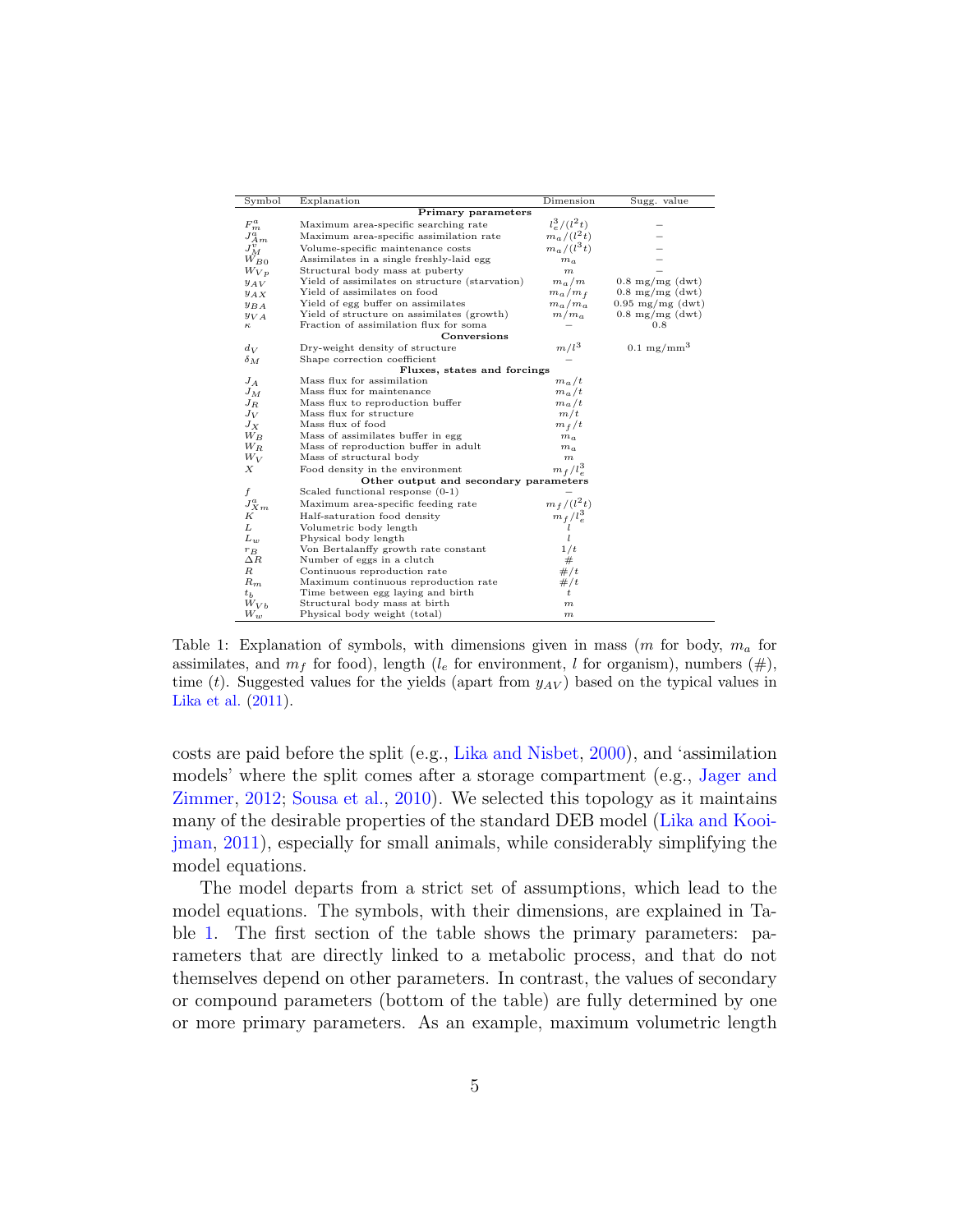| Symbol                                                              | Explanation                                    | Dimension        | Sugg. value                |  |  |
|---------------------------------------------------------------------|------------------------------------------------|------------------|----------------------------|--|--|
| Primary parameters                                                  |                                                |                  |                            |  |  |
|                                                                     | Maximum area-specific searching rate           | $l_e^3/(l^2t)$   |                            |  |  |
| $\begin{array}{l} F_m^a \\ J_{Am}^a \\ J_M^v \\ W_{B0} \end{array}$ | Maximum area-specific assimilation rate        | $m_a/(l^2 t)$    |                            |  |  |
|                                                                     | Volume-specific maintenance costs              | $m_a/(l^3t)$     |                            |  |  |
|                                                                     | Assimilates in a single freshly-laid egg       | $m_a$            |                            |  |  |
| $W_{Vp}$                                                            | Structural body mass at puberty                | $\boldsymbol{m}$ |                            |  |  |
| $y_{AV}$                                                            | Yield of assimilates on structure (starvation) | $m_a/m$          | $0.8 \text{ mg/mg}$ (dwt)  |  |  |
| $y_{AX}$                                                            | Yield of assimilates on food                   | $m_a/m_f$        | $0.8 \text{ mg/mg}$ (dwt)  |  |  |
| $y_{BA}$                                                            | Yield of egg buffer on assimilates             | $m_a/m_a$        | $0.95 \text{ mg/mg}$ (dwt) |  |  |
| $y_{VA}$                                                            | Yield of structure on assimilates (growth)     | $m/m_a$          | $0.8 \text{ mg/mg}$ (dwt)  |  |  |
| κ                                                                   | Fraction of assimilation flux for soma         |                  | $_{0.8}$                   |  |  |
|                                                                     | Conversions                                    |                  |                            |  |  |
| $d_V$                                                               | Dry-weight density of structure                | $m/l^3$          | $0.1 \text{ mg/mm}^3$      |  |  |
| $\delta_M$                                                          | Shape correction coefficient                   |                  |                            |  |  |
|                                                                     | Fluxes, states and forcings                    |                  |                            |  |  |
| $J_A$                                                               | Mass flux for assimilation                     | $m_a/t$          |                            |  |  |
| $J_M$                                                               | Mass flux for maintenance                      | $m_a/t$          |                            |  |  |
| $J_R$                                                               | Mass flux to reproduction buffer               | $m_a/t$          |                            |  |  |
| $J_V$                                                               | Mass flux for structure                        | m/t              |                            |  |  |
| $J_X$                                                               | Mass flux of food                              | $m_f/t$          |                            |  |  |
| $W_B$                                                               | Mass of assimilates buffer in egg              | $m_a$            |                            |  |  |
| $W_R$                                                               | Mass of reproduction buffer in adult           | $m_a$            |                            |  |  |
| $W_V$                                                               | Mass of structural body                        | $_{m}$           |                            |  |  |
| Х                                                                   | Food density in the environment                | $m_f/l_e^3$      |                            |  |  |
|                                                                     | Other output and secondary parameters          |                  |                            |  |  |
| f                                                                   | Scaled functional response $(0-1)$             |                  |                            |  |  |
| $J_{X\,m}^a$                                                        | Maximum area-specific feeding rate             | $m_f/(l^2 t)$    |                            |  |  |
| K                                                                   | Half-saturation food density                   | $m_f/l_e^3$      |                            |  |  |
| L                                                                   | Volumetric body length                         |                  |                            |  |  |
| $L_{\nu}$                                                           | Physical body length                           |                  |                            |  |  |
| $r_B$                                                               | Von Bertalanffy growth rate constant           | 1/t              |                            |  |  |
| $\Delta R$                                                          | Number of eggs in a clutch                     | #                |                            |  |  |
| $_{R}$                                                              | Continuous reproduction rate                   | #/t              |                            |  |  |
| $R_m$                                                               | Maximum continuous reproduction rate           | #/t              |                            |  |  |
| $t_{h}$                                                             | Time between egg laying and birth              | t                |                            |  |  |
| $W_{V}$                                                             | Structural body mass at birth                  | $_{m}$           |                            |  |  |
| $W_w$                                                               | Physical body weight (total)                   | $_{m}$           |                            |  |  |

<span id="page-4-0"></span>Table 1: Explanation of symbols, with dimensions given in mass  $(m \text{ for body}, m_a \text{ for }$ assimilates, and  $m_f$  for food), length (l<sub>e</sub> for environment, l for organism), numbers (#), time (t). Suggested values for the yields (apart from  $y_{AV}$ ) based on the typical values in [Lika et al.](#page-26-2) [\(2011\)](#page-26-2).

costs are paid before the split (e.g., [Lika and Nisbet,](#page-26-5) [2000\)](#page-26-5), and 'assimilation models' where the split comes after a storage compartment (e.g., [Jager and](#page-25-4) [Zimmer,](#page-25-4) [2012;](#page-25-4) [Sousa et al.,](#page-27-1) [2010\)](#page-27-1). We selected this topology as it maintains many of the desirable properties of the standard DEB model [\(Lika and Kooi](#page-26-4)[jman,](#page-26-4) [2011\)](#page-26-4), especially for small animals, while considerably simplifying the model equations.

The model departs from a strict set of assumptions, which lead to the model equations. The symbols, with their dimensions, are explained in Table [1.](#page-4-0) The first section of the table shows the primary parameters: parameters that are directly linked to a metabolic process, and that do not themselves depend on other parameters. In contrast, the values of secondary or compound parameters (bottom of the table) are fully determined by one or more primary parameters. As an example, maximum volumetric length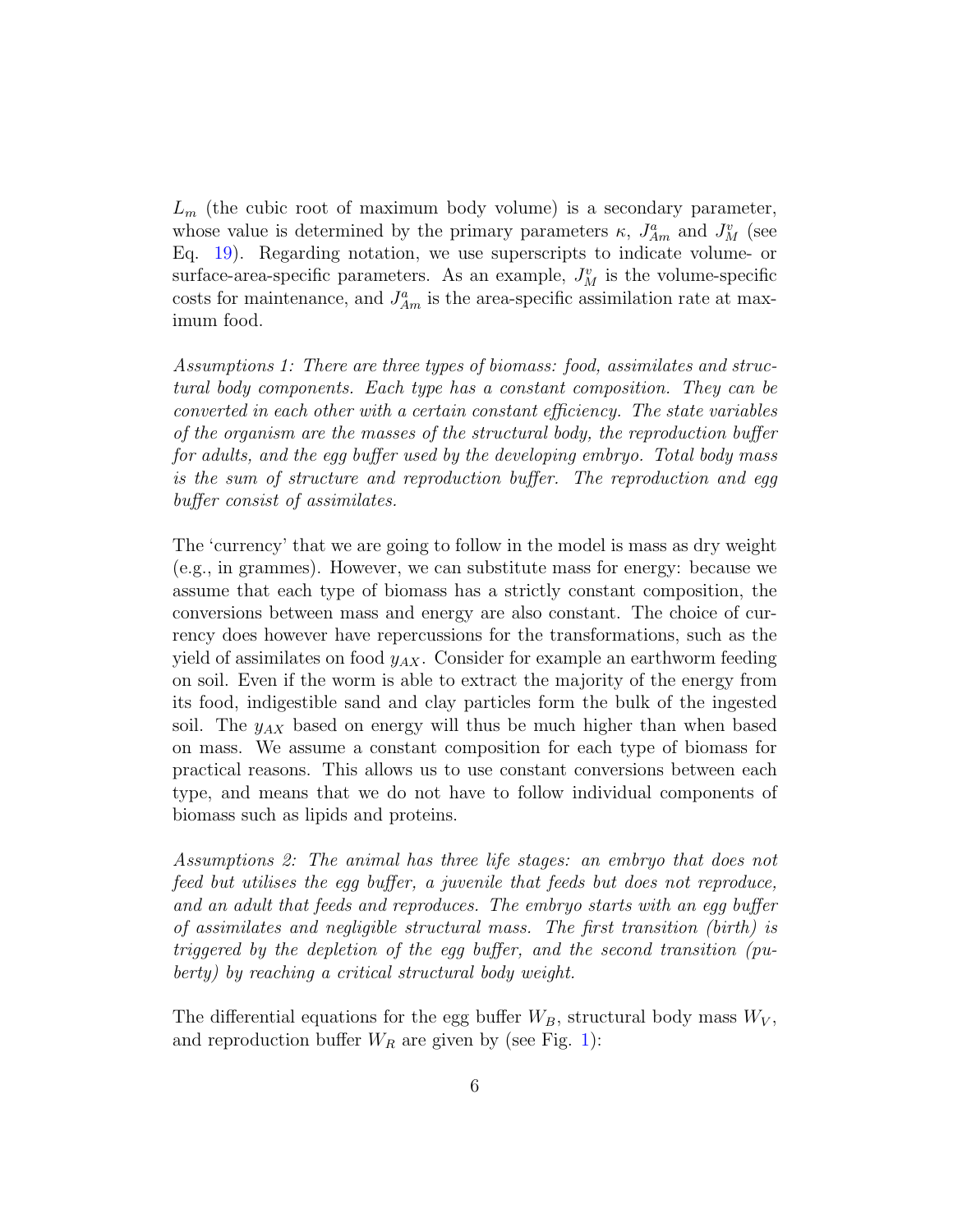$L_m$  (the cubic root of maximum body volume) is a secondary parameter, whose value is determined by the primary parameters  $\kappa$ ,  $J_{Am}^a$  and  $J_M^v$  (see Eq. [19\)](#page-11-0). Regarding notation, we use superscripts to indicate volume- or surface-area-specific parameters. As an example,  $J_M^v$  is the volume-specific costs for maintenance, and  $J_{Am}^a$  is the area-specific assimilation rate at maximum food.

Assumptions 1: There are three types of biomass: food, assimilates and structural body components. Each type has a constant composition. They can be converted in each other with a certain constant efficiency. The state variables of the organism are the masses of the structural body, the reproduction buffer for adults, and the egg buffer used by the developing embryo. Total body mass is the sum of structure and reproduction buffer. The reproduction and egg buffer consist of assimilates.

The 'currency' that we are going to follow in the model is mass as dry weight (e.g., in grammes). However, we can substitute mass for energy: because we assume that each type of biomass has a strictly constant composition, the conversions between mass and energy are also constant. The choice of currency does however have repercussions for the transformations, such as the yield of assimilates on food  $y_{AX}$ . Consider for example an earthworm feeding on soil. Even if the worm is able to extract the majority of the energy from its food, indigestible sand and clay particles form the bulk of the ingested soil. The  $y_{AX}$  based on energy will thus be much higher than when based on mass. We assume a constant composition for each type of biomass for practical reasons. This allows us to use constant conversions between each type, and means that we do not have to follow individual components of biomass such as lipids and proteins.

Assumptions 2: The animal has three life stages: an embryo that does not feed but utilises the egg buffer, a juvenile that feeds but does not reproduce, and an adult that feeds and reproduces. The embryo starts with an egg buffer of assimilates and negligible structural mass. The first transition (birth) is triggered by the depletion of the egg buffer, and the second transition (puberty) by reaching a critical structural body weight.

The differential equations for the egg buffer  $W_B$ , structural body mass  $W_V$ , and reproduction buffer  $W_R$  are given by (see Fig. [1\)](#page-3-0):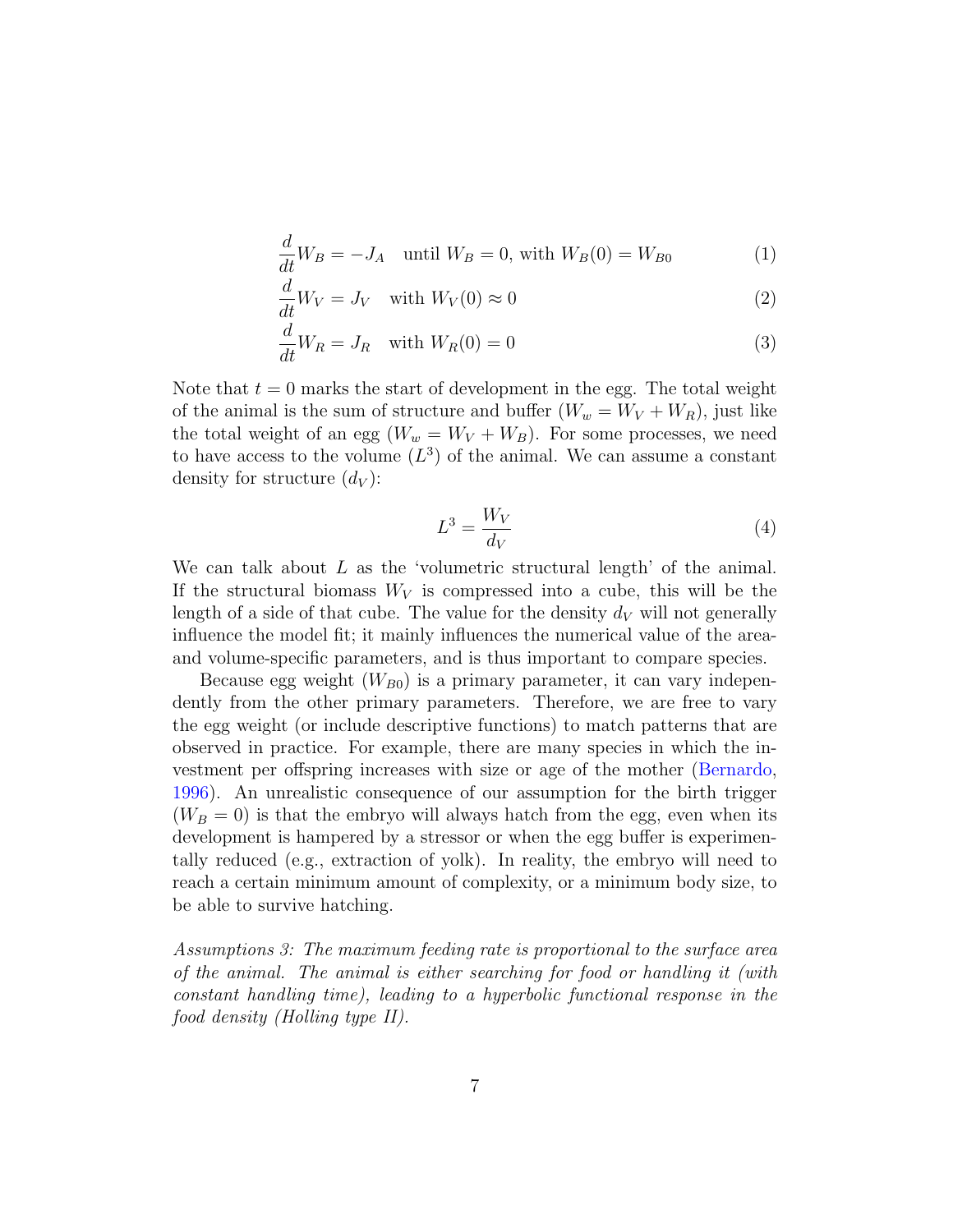$$
\frac{d}{dt}W_B = -J_A \quad \text{until } W_B = 0 \text{, with } W_B(0) = W_{B0} \tag{1}
$$

$$
\frac{d}{dt}W_V = J_V \quad \text{with } W_V(0) \approx 0 \tag{2}
$$

$$
\frac{d}{dt}W_R = J_R \quad \text{with } W_R(0) = 0 \tag{3}
$$

Note that  $t = 0$  marks the start of development in the egg. The total weight of the animal is the sum of structure and buffer  $(W_w = W_V + W_R)$ , just like the total weight of an egg  $(W_w = W_V + W_B)$ . For some processes, we need to have access to the volume  $(L^3)$  of the animal. We can assume a constant density for structure  $(d_V)$ :

$$
L^3 = \frac{W_V}{d_V} \tag{4}
$$

<span id="page-6-0"></span>We can talk about  $L$  as the 'volumetric structural length' of the animal. If the structural biomass  $W_V$  is compressed into a cube, this will be the length of a side of that cube. The value for the density  $d_V$  will not generally influence the model fit; it mainly influences the numerical value of the areaand volume-specific parameters, and is thus important to compare species.

Because egg weight  $(W_{B0})$  is a primary parameter, it can vary independently from the other primary parameters. Therefore, we are free to vary the egg weight (or include descriptive functions) to match patterns that are observed in practice. For example, there are many species in which the investment per offspring increases with size or age of the mother [\(Bernardo,](#page-24-0) [1996\)](#page-24-0). An unrealistic consequence of our assumption for the birth trigger  $(W_B = 0)$  is that the embryo will always hatch from the egg, even when its development is hampered by a stressor or when the egg buffer is experimentally reduced (e.g., extraction of yolk). In reality, the embryo will need to reach a certain minimum amount of complexity, or a minimum body size, to be able to survive hatching.

Assumptions 3: The maximum feeding rate is proportional to the surface area of the animal. The animal is either searching for food or handling it (with constant handling time), leading to a hyperbolic functional response in the food density (Holling type II).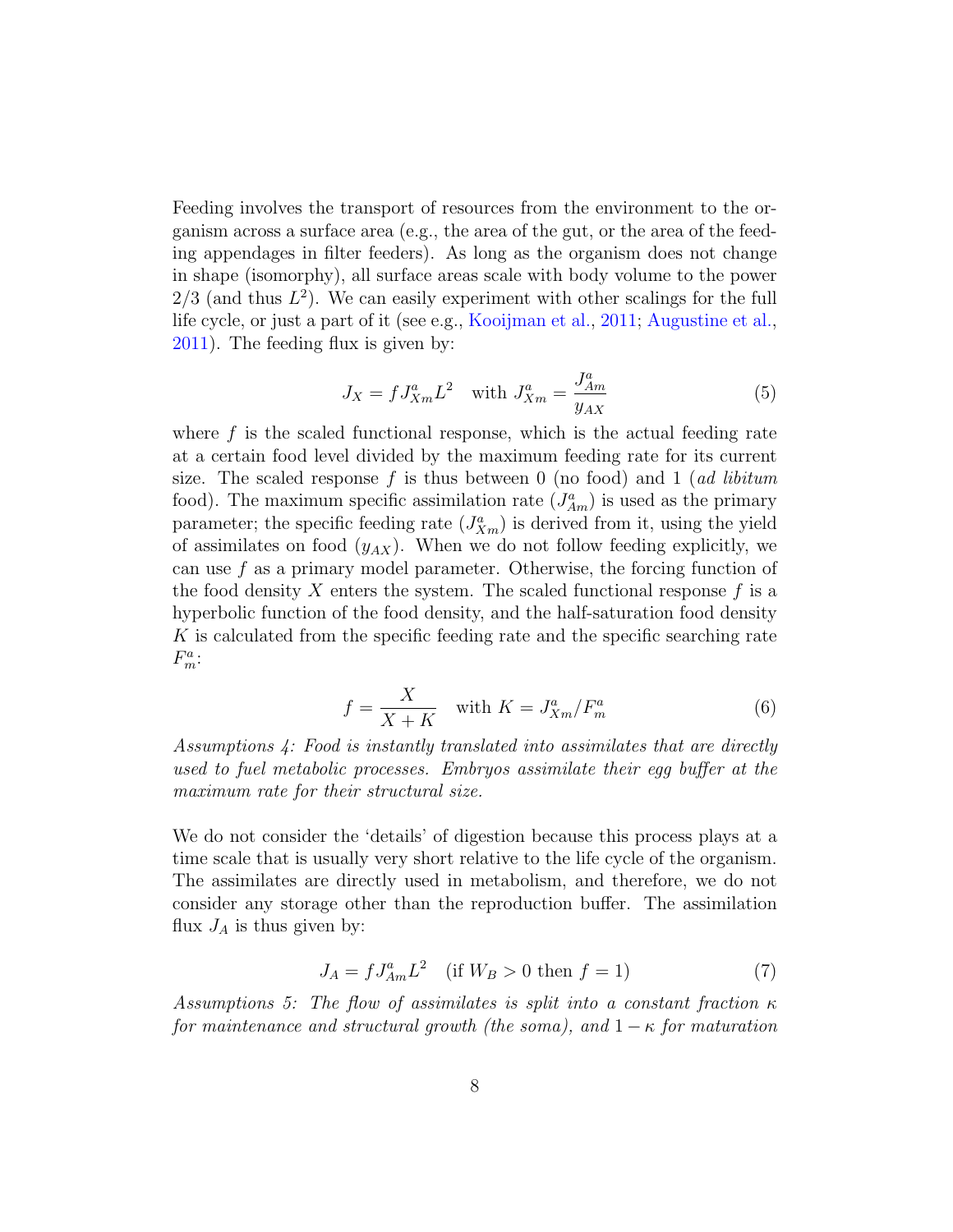Feeding involves the transport of resources from the environment to the organism across a surface area (e.g., the area of the gut, or the area of the feeding appendages in filter feeders). As long as the organism does not change in shape (isomorphy), all surface areas scale with body volume to the power  $2/3$  (and thus  $L^2$ ). We can easily experiment with other scalings for the full life cycle, or just a part of it (see e.g., [Kooijman et al.,](#page-26-6) [2011;](#page-26-6) [Augustine et al.,](#page-24-1) [2011\)](#page-24-1). The feeding flux is given by:

$$
J_X = f J_{Xm}^a L^2 \quad \text{with } J_{Xm}^a = \frac{J_{Am}^a}{y_{AX}} \tag{5}
$$

where  $f$  is the scaled functional response, which is the actual feeding rate at a certain food level divided by the maximum feeding rate for its current size. The scaled response f is thus between 0 (no food) and 1 (*ad libitum* food). The maximum specific assimilation rate  $(J_{Am}^a)$  is used as the primary parameter; the specific feeding rate  $(J_{Xm}^a)$  is derived from it, using the yield of assimilates on food  $(y_{AX})$ . When we do not follow feeding explicitly, we can use f as a primary model parameter. Otherwise, the forcing function of the food density X enters the system. The scaled functional response  $f$  is a hyperbolic function of the food density, and the half-saturation food density K is calculated from the specific feeding rate and the specific searching rate  $F_m^a$ :

$$
f = \frac{X}{X + K} \quad \text{with } K = J_{Xm}^a / F_m^a \tag{6}
$$

Assumptions 4: Food is instantly translated into assimilates that are directly used to fuel metabolic processes. Embryos assimilate their egg buffer at the maximum rate for their structural size.

We do not consider the 'details' of digestion because this process plays at a time scale that is usually very short relative to the life cycle of the organism. The assimilates are directly used in metabolism, and therefore, we do not consider any storage other than the reproduction buffer. The assimilation flux  $J_A$  is thus given by:

$$
J_A = f J_{Am}^a L^2 \quad \text{(if } W_B > 0 \text{ then } f = 1\text{)}\tag{7}
$$

Assumptions 5: The flow of assimilates is split into a constant fraction  $\kappa$ for maintenance and structural growth (the soma), and  $1 - \kappa$  for maturation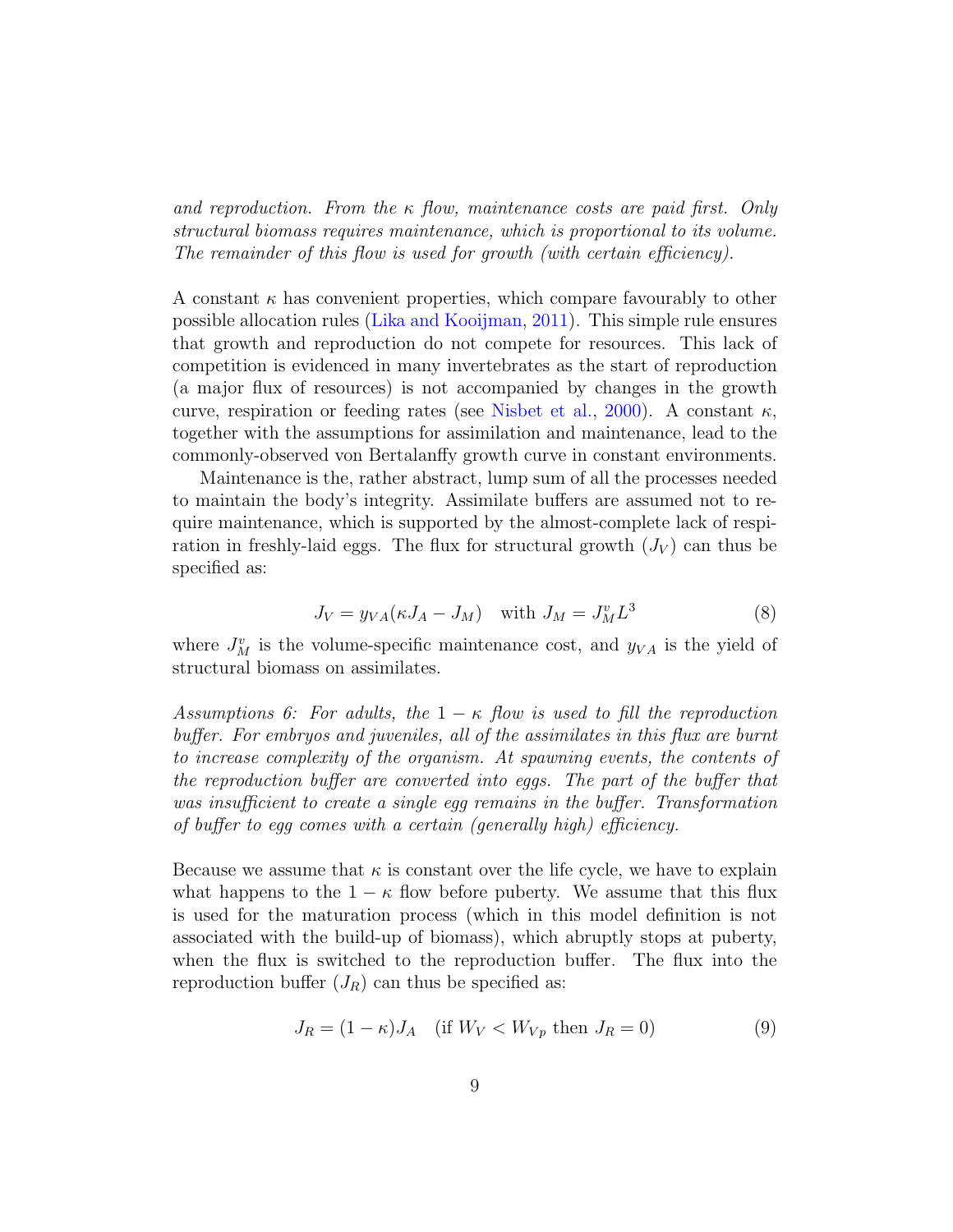and reproduction. From the  $\kappa$  flow, maintenance costs are paid first. Only structural biomass requires maintenance, which is proportional to its volume. The remainder of this flow is used for growth (with certain efficiency).

A constant  $\kappa$  has convenient properties, which compare favourably to other possible allocation rules [\(Lika and Kooijman,](#page-26-4) [2011\)](#page-26-4). This simple rule ensures that growth and reproduction do not compete for resources. This lack of competition is evidenced in many invertebrates as the start of reproduction (a major flux of resources) is not accompanied by changes in the growth curve, respiration or feeding rates (see [Nisbet et al.,](#page-27-2) [2000\)](#page-27-2). A constant  $\kappa$ , together with the assumptions for assimilation and maintenance, lead to the commonly-observed von Bertalanffy growth curve in constant environments.

Maintenance is the, rather abstract, lump sum of all the processes needed to maintain the body's integrity. Assimilate buffers are assumed not to require maintenance, which is supported by the almost-complete lack of respiration in freshly-laid eggs. The flux for structural growth  $(J_V)$  can thus be specified as:

$$
J_V = y_{VA}(\kappa J_A - J_M) \quad \text{with } J_M = J_M^v L^3 \tag{8}
$$

where  $J_M^v$  is the volume-specific maintenance cost, and  $y_{VA}$  is the yield of structural biomass on assimilates.

Assumptions 6: For adults, the  $1 - \kappa$  flow is used to fill the reproduction buffer. For embryos and juveniles, all of the assimilates in this flux are burnt to increase complexity of the organism. At spawning events, the contents of the reproduction buffer are converted into eggs. The part of the buffer that was insufficient to create a single egg remains in the buffer. Transformation of buffer to egg comes with a certain (generally high) efficiency.

Because we assume that  $\kappa$  is constant over the life cycle, we have to explain what happens to the  $1 - \kappa$  flow before puberty. We assume that this flux is used for the maturation process (which in this model definition is not associated with the build-up of biomass), which abruptly stops at puberty, when the flux is switched to the reproduction buffer. The flux into the reproduction buffer  $(J_R)$  can thus be specified as:

$$
J_R = (1 - \kappa)J_A \quad \text{(if } W_V < W_{Vp} \text{ then } J_R = 0\text{)}\tag{9}
$$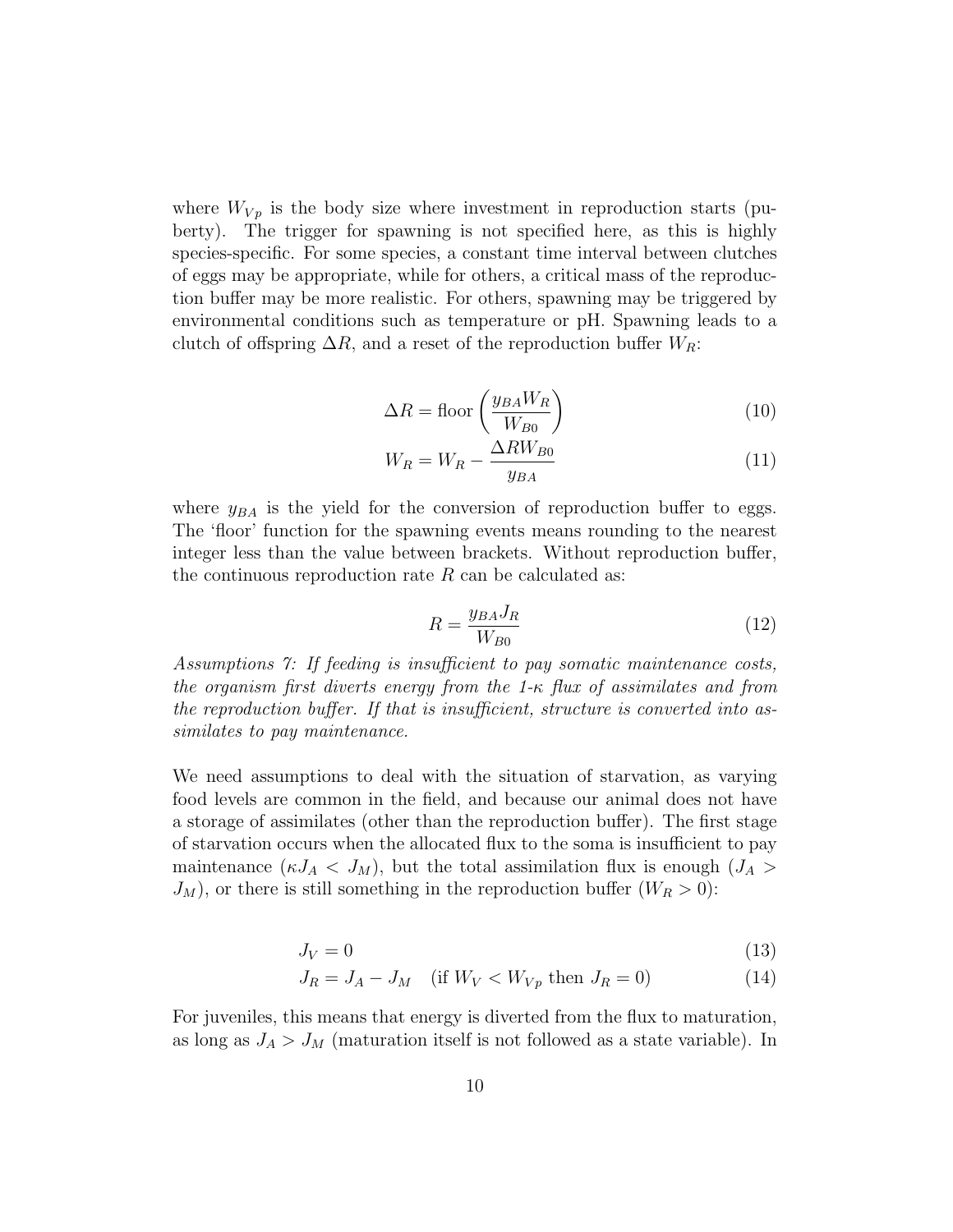where  $W_{V_p}$  is the body size where investment in reproduction starts (puberty). The trigger for spawning is not specified here, as this is highly species-specific. For some species, a constant time interval between clutches of eggs may be appropriate, while for others, a critical mass of the reproduction buffer may be more realistic. For others, spawning may be triggered by environmental conditions such as temperature or pH. Spawning leads to a clutch of offspring  $\Delta R$ , and a reset of the reproduction buffer  $W_R$ :

$$
\Delta R = \text{floor}\left(\frac{y_{BA}W_R}{W_{B0}}\right) \tag{10}
$$

$$
W_R = W_R - \frac{\Delta RW_{B0}}{y_{BA}}\tag{11}
$$

where  $y_{BA}$  is the yield for the conversion of reproduction buffer to eggs. The 'floor' function for the spawning events means rounding to the nearest integer less than the value between brackets. Without reproduction buffer, the continuous reproduction rate  $R$  can be calculated as:

$$
R = \frac{y_{BA} J_R}{W_{B0}}\tag{12}
$$

Assumptions 7: If feeding is insufficient to pay somatic maintenance costs, the organism first diverts energy from the 1-κ flux of assimilates and from the reproduction buffer. If that is insufficient, structure is converted into assimilates to pay maintenance.

We need assumptions to deal with the situation of starvation, as varying food levels are common in the field, and because our animal does not have a storage of assimilates (other than the reproduction buffer). The first stage of starvation occurs when the allocated flux to the soma is insufficient to pay maintenance  $(\kappa J_A < J_M)$ , but the total assimilation flux is enough  $(J_A >$  $J_M$ , or there is still something in the reproduction buffer  $(W_R > 0)$ :

$$
J_V = 0 \tag{13}
$$

$$
J_R = J_A - J_M \quad \text{(if } W_V < W_{Vp} \text{ then } J_R = 0\text{)}\tag{14}
$$

For juveniles, this means that energy is diverted from the flux to maturation, as long as  $J_A > J_M$  (maturation itself is not followed as a state variable). In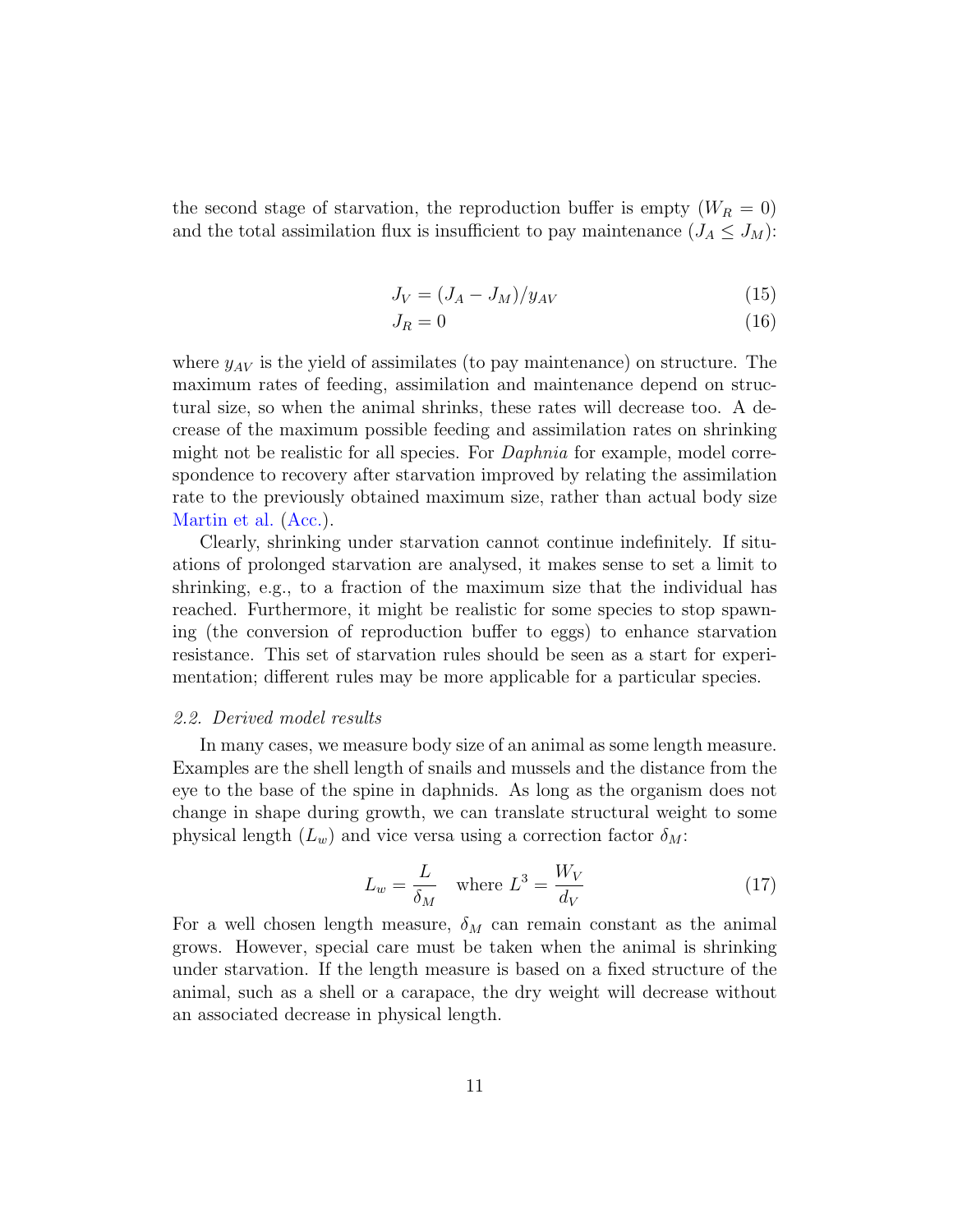the second stage of starvation, the reproduction buffer is empty  $(W_R = 0)$ and the total assimilation flux is insufficient to pay maintenance  $(J_A \leq J_M)$ :

$$
J_V = (J_A - J_M)/y_{AV} \tag{15}
$$

$$
J_R = 0 \tag{16}
$$

where  $y_{AV}$  is the yield of assimilates (to pay maintenance) on structure. The maximum rates of feeding, assimilation and maintenance depend on structural size, so when the animal shrinks, these rates will decrease too. A decrease of the maximum possible feeding and assimilation rates on shrinking might not be realistic for all species. For *Daphnia* for example, model correspondence to recovery after starvation improved by relating the assimilation rate to the previously obtained maximum size, rather than actual body size [Martin et al.](#page-26-7) [\(Acc.\)](#page-26-7).

Clearly, shrinking under starvation cannot continue indefinitely. If situations of prolonged starvation are analysed, it makes sense to set a limit to shrinking, e.g., to a fraction of the maximum size that the individual has reached. Furthermore, it might be realistic for some species to stop spawning (the conversion of reproduction buffer to eggs) to enhance starvation resistance. This set of starvation rules should be seen as a start for experimentation; different rules may be more applicable for a particular species.

#### <span id="page-10-1"></span>2.2. Derived model results

In many cases, we measure body size of an animal as some length measure. Examples are the shell length of snails and mussels and the distance from the eye to the base of the spine in daphnids. As long as the organism does not change in shape during growth, we can translate structural weight to some physical length  $(L_w)$  and vice versa using a correction factor  $\delta_M$ :

$$
L_w = \frac{L}{\delta_M} \quad \text{where } L^3 = \frac{W_V}{d_V} \tag{17}
$$

<span id="page-10-0"></span>For a well chosen length measure,  $\delta_M$  can remain constant as the animal grows. However, special care must be taken when the animal is shrinking under starvation. If the length measure is based on a fixed structure of the animal, such as a shell or a carapace, the dry weight will decrease without an associated decrease in physical length.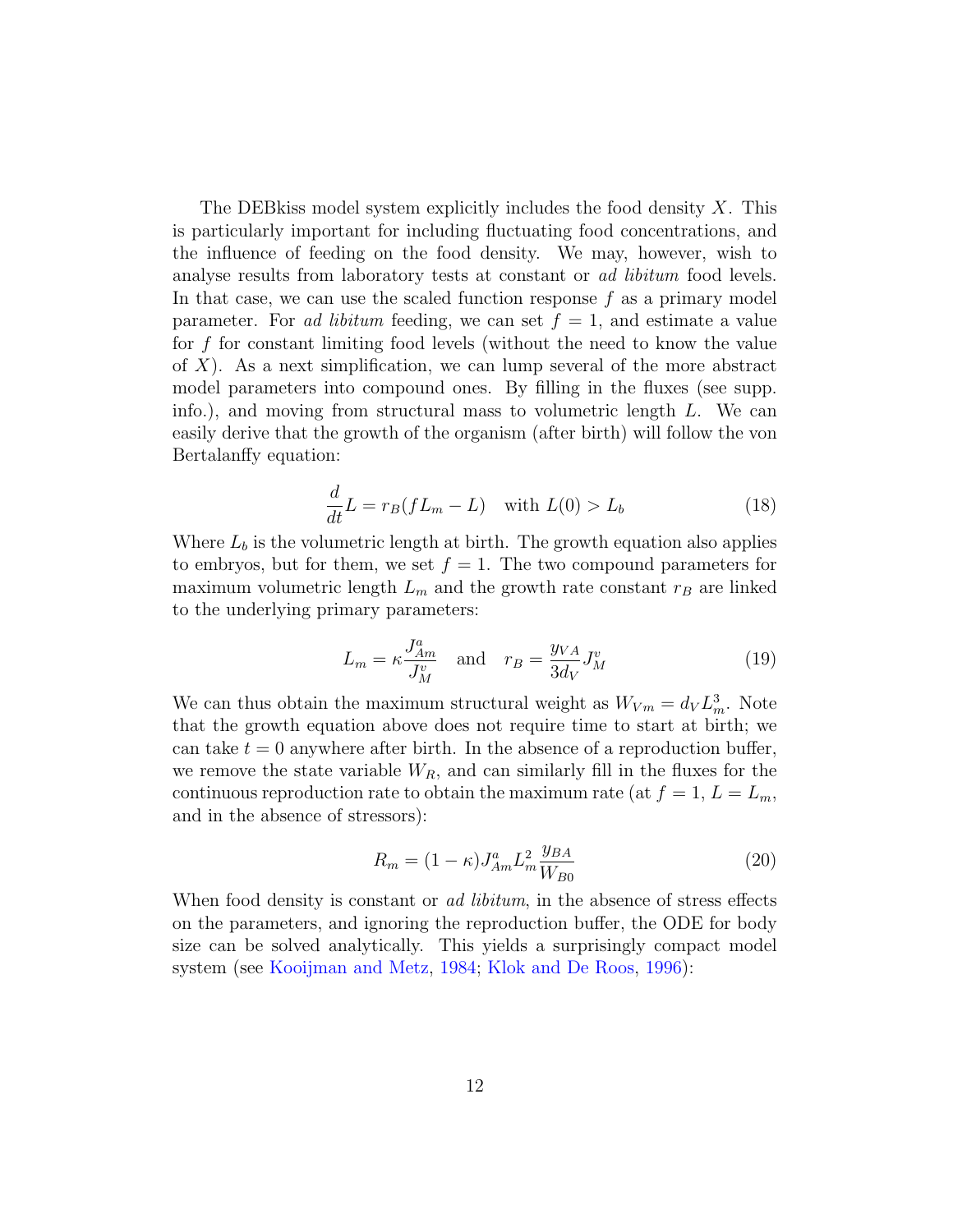The DEB kiss model system explicitly includes the food density  $X$ . This is particularly important for including fluctuating food concentrations, and the influence of feeding on the food density. We may, however, wish to analyse results from laboratory tests at constant or *ad libitum* food levels. In that case, we can use the scaled function response  $f$  as a primary model parameter. For ad libitum feeding, we can set  $f = 1$ , and estimate a value for  $f$  for constant limiting food levels (without the need to know the value of  $X$ ). As a next simplification, we can lump several of the more abstract model parameters into compound ones. By filling in the fluxes (see supp. info.), and moving from structural mass to volumetric length L. We can easily derive that the growth of the organism (after birth) will follow the von Bertalanffy equation:

$$
\frac{d}{dt}L = r_B(fL_m - L) \quad \text{with } L(0) > L_b \tag{18}
$$

<span id="page-11-1"></span>Where  $L_b$  is the volumetric length at birth. The growth equation also applies to embryos, but for them, we set  $f = 1$ . The two compound parameters for maximum volumetric length  $L_m$  and the growth rate constant  $r_B$  are linked to the underlying primary parameters:

$$
L_m = \kappa \frac{J_{Am}^a}{J_M^v} \quad \text{and} \quad r_B = \frac{y_{VA}}{3d_V} J_M^v \tag{19}
$$

<span id="page-11-0"></span>We can thus obtain the maximum structural weight as  $W_{Vm} = d_V L_m^3$ . Note that the growth equation above does not require time to start at birth; we can take  $t = 0$  anywhere after birth. In the absence of a reproduction buffer, we remove the state variable  $W_R$ , and can similarly fill in the fluxes for the continuous reproduction rate to obtain the maximum rate (at  $f = 1, L = L_m$ , and in the absence of stressors):

$$
R_m = (1 - \kappa) J_{Am}^a L_m^2 \frac{y_{BA}}{W_{B0}}
$$
 (20)

<span id="page-11-2"></span>When food density is constant or *ad libitum*, in the absence of stress effects on the parameters, and ignoring the reproduction buffer, the ODE for body size can be solved analytically. This yields a surprisingly compact model system (see [Kooijman and Metz,](#page-26-8) [1984;](#page-26-8) [Klok and De Roos,](#page-25-5) [1996\)](#page-25-5):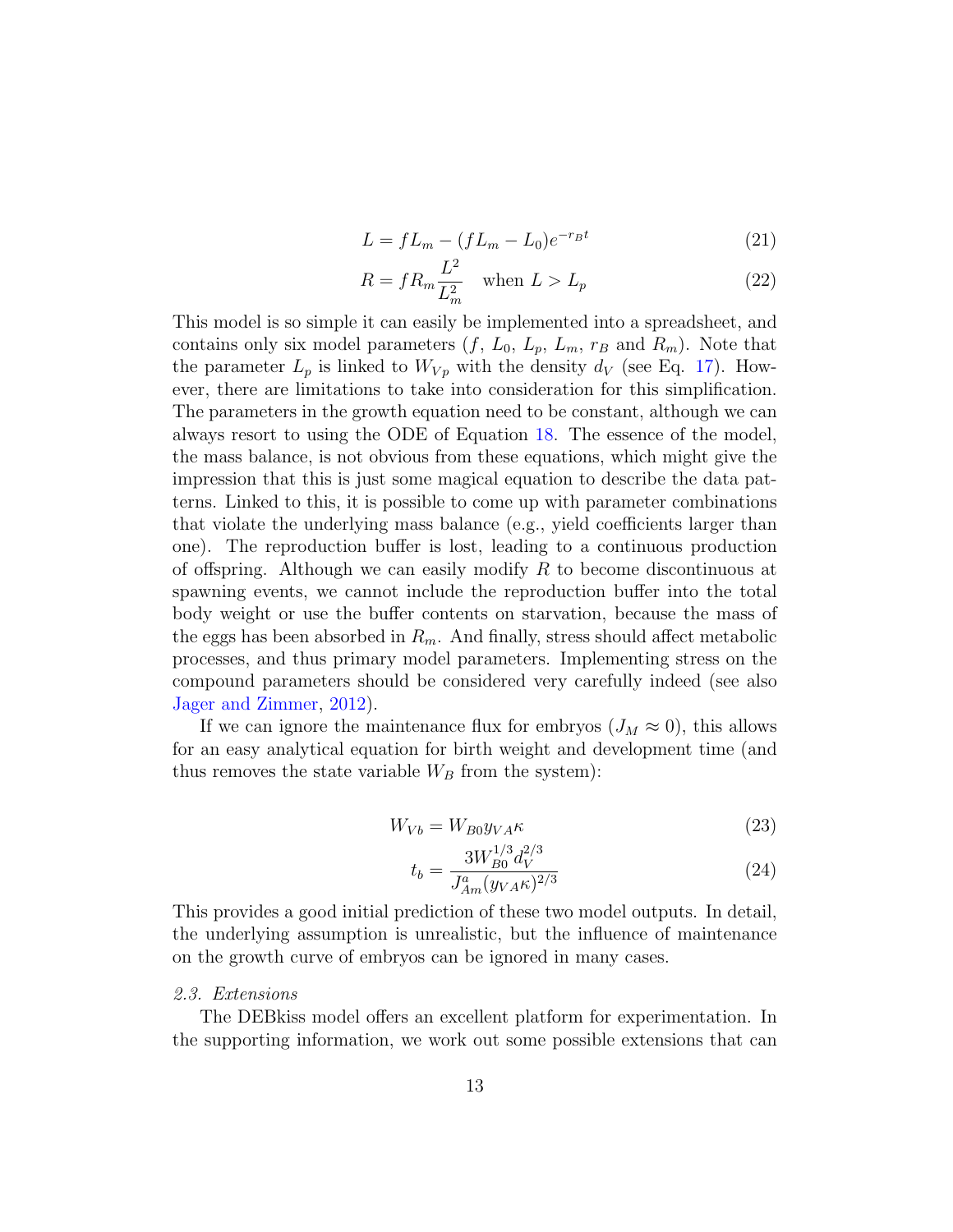$$
L = fL_m - (fL_m - L_0)e^{-r_B t}
$$
\n(21)

<span id="page-12-4"></span><span id="page-12-3"></span>
$$
R = f R_m \frac{L^2}{L_m^2} \quad \text{when } L > L_p \tag{22}
$$

This model is so simple it can easily be implemented into a spreadsheet, and contains only six model parameters  $(f, L_0, L_p, L_m, r_B$  and  $R_m)$ . Note that the parameter  $L_p$  is linked to  $W_{V_p}$  with the density  $d_V$  (see Eq. [17\)](#page-10-0). However, there are limitations to take into consideration for this simplification. The parameters in the growth equation need to be constant, although we can always resort to using the ODE of Equation [18.](#page-11-1) The essence of the model, the mass balance, is not obvious from these equations, which might give the impression that this is just some magical equation to describe the data patterns. Linked to this, it is possible to come up with parameter combinations that violate the underlying mass balance (e.g., yield coefficients larger than one). The reproduction buffer is lost, leading to a continuous production of offspring. Although we can easily modify  $R$  to become discontinuous at spawning events, we cannot include the reproduction buffer into the total body weight or use the buffer contents on starvation, because the mass of the eggs has been absorbed in  $R_m$ . And finally, stress should affect metabolic processes, and thus primary model parameters. Implementing stress on the compound parameters should be considered very carefully indeed (see also [Jager and Zimmer,](#page-25-4) [2012\)](#page-25-4).

If we can ignore the maintenance flux for embryos  $(J_M \approx 0)$ , this allows for an easy analytical equation for birth weight and development time (and thus removes the state variable  $W_B$  from the system):

$$
W_{Vb} = W_{B0} y_{VA} \kappa \tag{23}
$$

<span id="page-12-1"></span><span id="page-12-0"></span>
$$
t_b = \frac{3W_{B0}^{1/3}d_V^{2/3}}{J_{Am}^a(y_{VA}\kappa)^{2/3}}
$$
(24)

This provides a good initial prediction of these two model outputs. In detail, the underlying assumption is unrealistic, but the influence of maintenance on the growth curve of embryos can be ignored in many cases.

## <span id="page-12-2"></span>2.3. Extensions

The DEBkiss model offers an excellent platform for experimentation. In the supporting information, we work out some possible extensions that can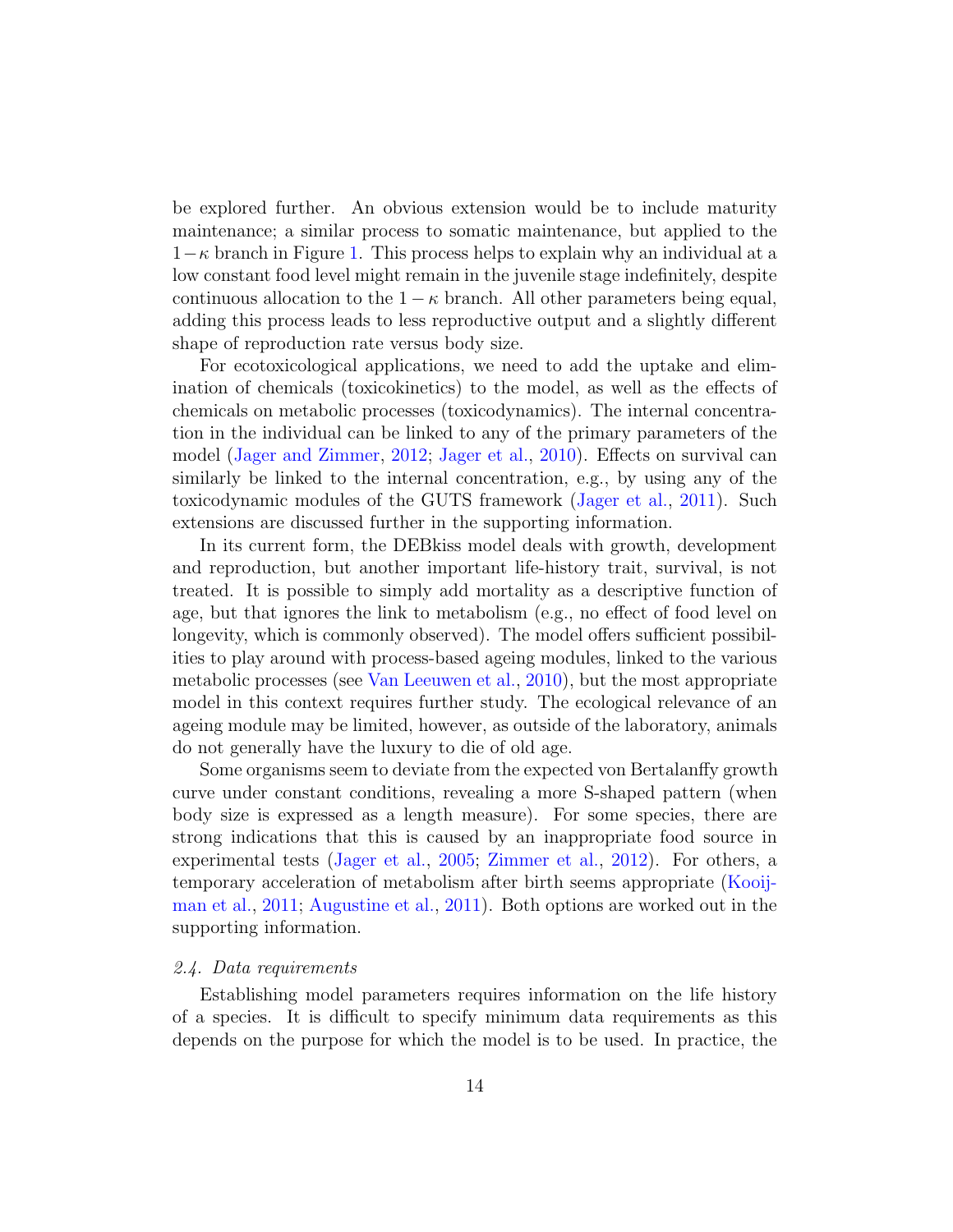be explored further. An obvious extension would be to include maturity maintenance; a similar process to somatic maintenance, but applied to the  $1-\kappa$  branch in Figure [1.](#page-3-0) This process helps to explain why an individual at a low constant food level might remain in the juvenile stage indefinitely, despite continuous allocation to the  $1 - \kappa$  branch. All other parameters being equal, adding this process leads to less reproductive output and a slightly different shape of reproduction rate versus body size.

For ecotoxicological applications, we need to add the uptake and elimination of chemicals (toxicokinetics) to the model, as well as the effects of chemicals on metabolic processes (toxicodynamics). The internal concentration in the individual can be linked to any of the primary parameters of the model [\(Jager and Zimmer,](#page-25-4) [2012;](#page-25-4) [Jager et al.,](#page-25-3) [2010\)](#page-25-3). Effects on survival can similarly be linked to the internal concentration, e.g., by using any of the toxicodynamic modules of the GUTS framework [\(Jager et al.,](#page-25-6) [2011\)](#page-25-6). Such extensions are discussed further in the supporting information.

In its current form, the DEBkiss model deals with growth, development and reproduction, but another important life-history trait, survival, is not treated. It is possible to simply add mortality as a descriptive function of age, but that ignores the link to metabolism (e.g., no effect of food level on longevity, which is commonly observed). The model offers sufficient possibilities to play around with process-based ageing modules, linked to the various metabolic processes (see [Van Leeuwen et al.,](#page-27-4) [2010\)](#page-27-4), but the most appropriate model in this context requires further study. The ecological relevance of an ageing module may be limited, however, as outside of the laboratory, animals do not generally have the luxury to die of old age.

Some organisms seem to deviate from the expected von Bertalanffy growth curve under constant conditions, revealing a more S-shaped pattern (when body size is expressed as a length measure). For some species, there are strong indications that this is caused by an inappropriate food source in experimental tests [\(Jager et al.,](#page-25-7) [2005;](#page-25-7) [Zimmer et al.,](#page-27-0) [2012\)](#page-27-0). For others, a temporary acceleration of metabolism after birth seems appropriate [\(Kooij](#page-26-6)[man et al.,](#page-26-6) [2011;](#page-26-6) [Augustine et al.,](#page-24-1) [2011\)](#page-24-1). Both options are worked out in the supporting information.

## 2.4. Data requirements

Establishing model parameters requires information on the life history of a species. It is difficult to specify minimum data requirements as this depends on the purpose for which the model is to be used. In practice, the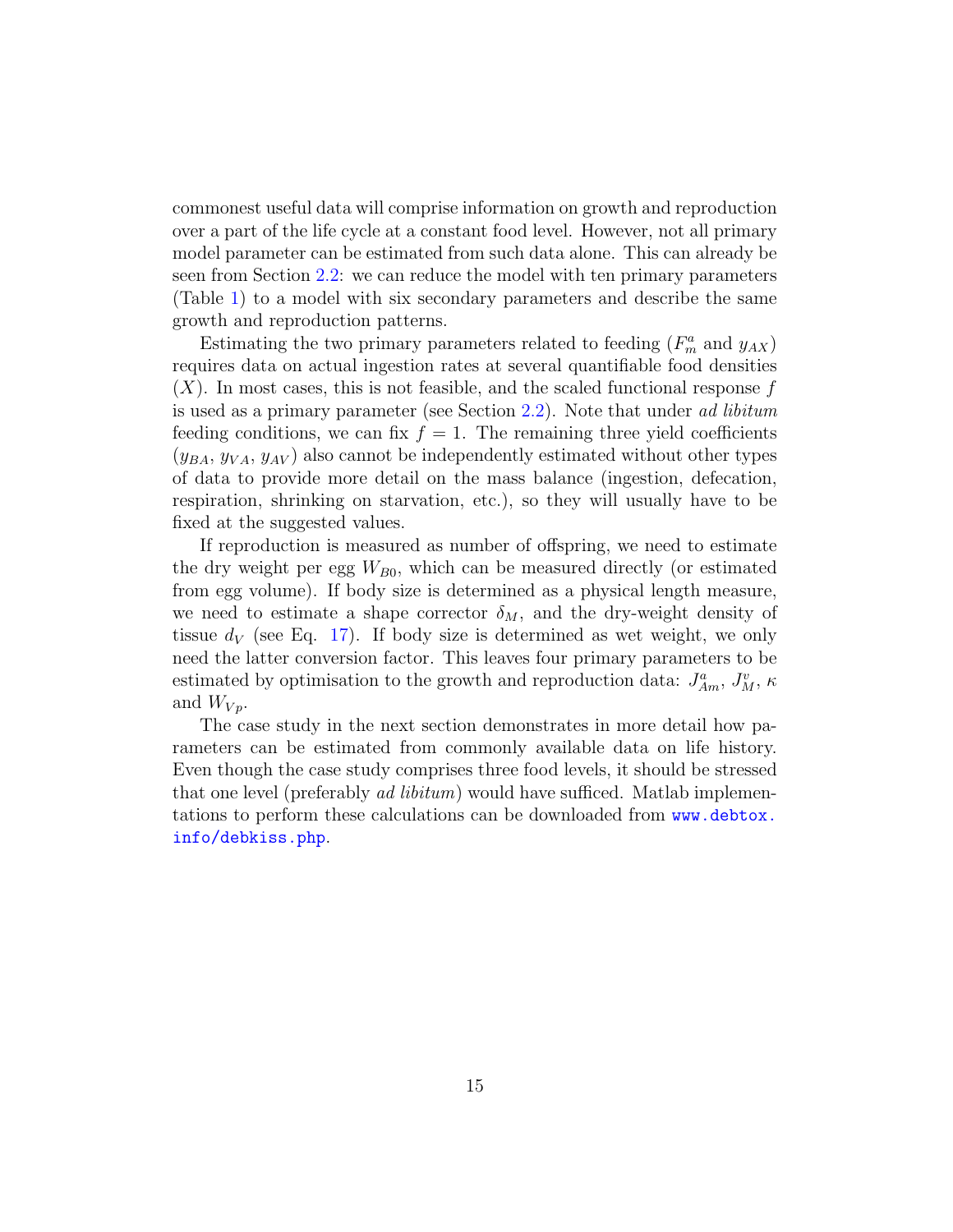commonest useful data will comprise information on growth and reproduction over a part of the life cycle at a constant food level. However, not all primary model parameter can be estimated from such data alone. This can already be seen from Section [2.2:](#page-10-1) we can reduce the model with ten primary parameters (Table [1\)](#page-4-0) to a model with six secondary parameters and describe the same growth and reproduction patterns.

Estimating the two primary parameters related to feeding  $(F_m^a \text{ and } y_{AX})$ requires data on actual ingestion rates at several quantifiable food densities  $(X)$ . In most cases, this is not feasible, and the scaled functional response f is used as a primary parameter (see Section [2.2\)](#page-10-1). Note that under ad libitum feeding conditions, we can fix  $f = 1$ . The remaining three yield coefficients  $(y<sub>BA</sub>, y<sub>VA</sub>, y<sub>AV</sub>)$  also cannot be independently estimated without other types of data to provide more detail on the mass balance (ingestion, defecation, respiration, shrinking on starvation, etc.), so they will usually have to be fixed at the suggested values.

If reproduction is measured as number of offspring, we need to estimate the dry weight per egg  $W_{B0}$ , which can be measured directly (or estimated from egg volume). If body size is determined as a physical length measure, we need to estimate a shape corrector  $\delta_M$ , and the dry-weight density of tissue  $d_V$  (see Eq. [17\)](#page-10-0). If body size is determined as wet weight, we only need the latter conversion factor. This leaves four primary parameters to be estimated by optimisation to the growth and reproduction data:  $J_{Am}^a$ ,  $J_M^v$ ,  $\kappa$ and  $W_{V_p}$ .

The case study in the next section demonstrates in more detail how parameters can be estimated from commonly available data on life history. Even though the case study comprises three food levels, it should be stressed that one level (preferably *ad libitum*) would have sufficed. Matlab implementations to perform these calculations can be downloaded from [www.debtox.](www.debtox.info/debkiss.php) [info/debkiss.php](www.debtox.info/debkiss.php).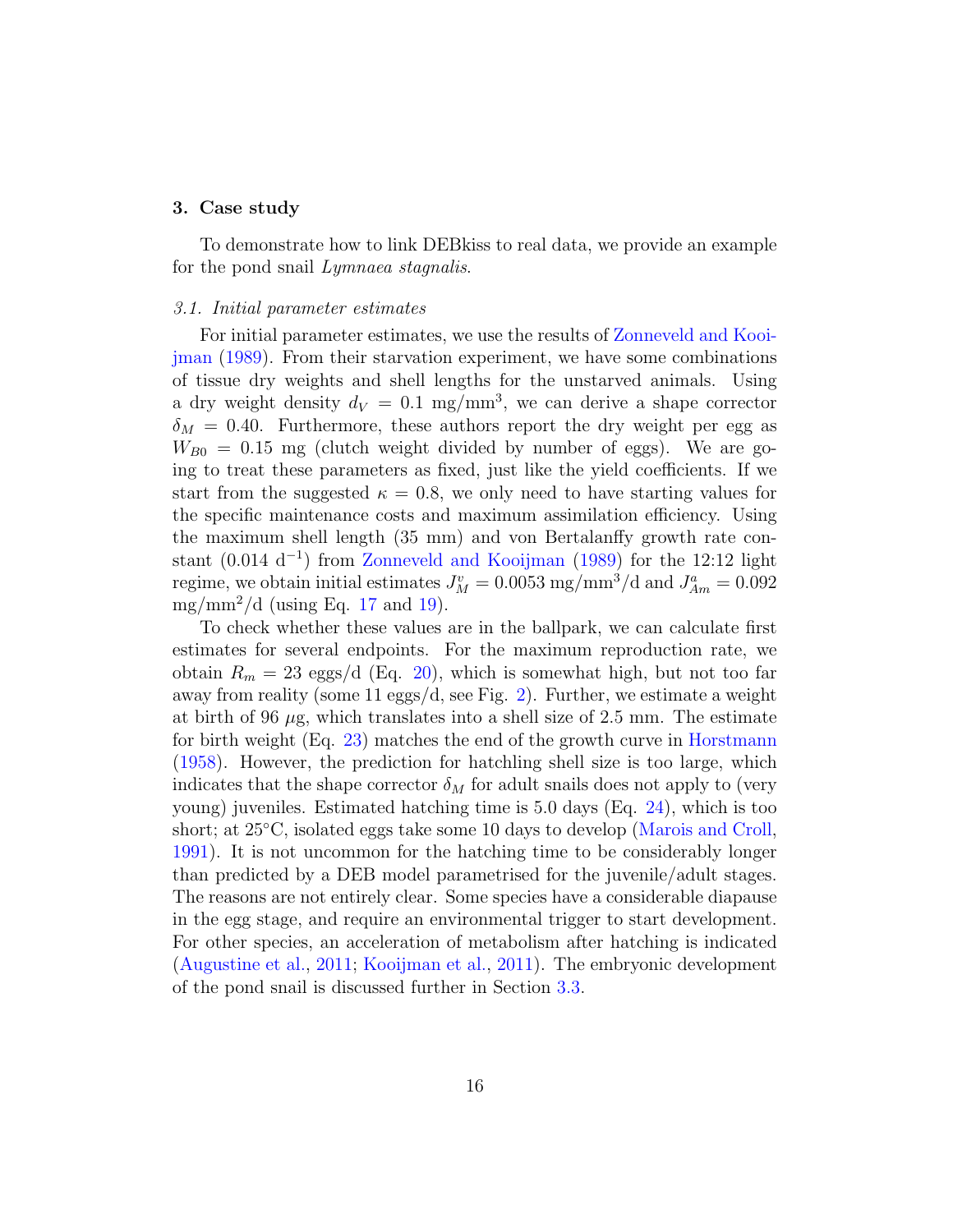#### 3. Case study

To demonstrate how to link DEBkiss to real data, we provide an example for the pond snail *Lymnaea stagnalis*.

## 3.1. Initial parameter estimates

For initial parameter estimates, we use the results of [Zonneveld and Kooi](#page-27-5)[jman](#page-27-5) [\(1989\)](#page-27-5). From their starvation experiment, we have some combinations of tissue dry weights and shell lengths for the unstarved animals. Using a dry weight density  $d_V = 0.1$  mg/mm<sup>3</sup>, we can derive a shape corrector  $\delta_M = 0.40$ . Furthermore, these authors report the dry weight per egg as  $W_{B0} = 0.15$  mg (clutch weight divided by number of eggs). We are going to treat these parameters as fixed, just like the yield coefficients. If we start from the suggested  $\kappa = 0.8$ , we only need to have starting values for the specific maintenance costs and maximum assimilation efficiency. Using the maximum shell length (35 mm) and von Bertalanffy growth rate con-stant (0.014 d<sup>-1</sup>) from [Zonneveld and Kooijman](#page-27-5) [\(1989\)](#page-27-5) for the 12:12 light regime, we obtain initial estimates  $J_M^v = 0.0053 \text{ mg/mm}^3/\text{d}$  and  $J_{Am}^a = 0.092$ mg/mm<sup>2</sup>/d (using Eq. [17](#page-10-0) and [19\)](#page-11-0).

To check whether these values are in the ballpark, we can calculate first estimates for several endpoints. For the maximum reproduction rate, we obtain  $R_m = 23 \text{ eggs}/d$  (Eq. [20\)](#page-11-2), which is somewhat high, but not too far away from reality (some 11 eggs/d, see Fig. [2\)](#page-18-0). Further, we estimate a weight at birth of 96  $\mu$ g, which translates into a shell size of 2.5 mm. The estimate for birth weight (Eq. [23\)](#page-12-0) matches the end of the growth curve in [Horstmann](#page-25-8) [\(1958\)](#page-25-8). However, the prediction for hatchling shell size is too large, which indicates that the shape corrector  $\delta_M$  for adult snails does not apply to (very young) juveniles. Estimated hatching time is 5.0 days (Eq. [24\)](#page-12-1), which is too short; at 25<sup>°</sup>C, isolated eggs take some 10 days to develop [\(Marois and Croll,](#page-26-9) [1991\)](#page-26-9). It is not uncommon for the hatching time to be considerably longer than predicted by a DEB model parametrised for the juvenile/adult stages. The reasons are not entirely clear. Some species have a considerable diapause in the egg stage, and require an environmental trigger to start development. For other species, an acceleration of metabolism after hatching is indicated [\(Augustine et al.,](#page-24-1) [2011;](#page-24-1) [Kooijman et al.,](#page-26-6) [2011\)](#page-26-6). The embryonic development of the pond snail is discussed further in Section [3.3.](#page-17-0)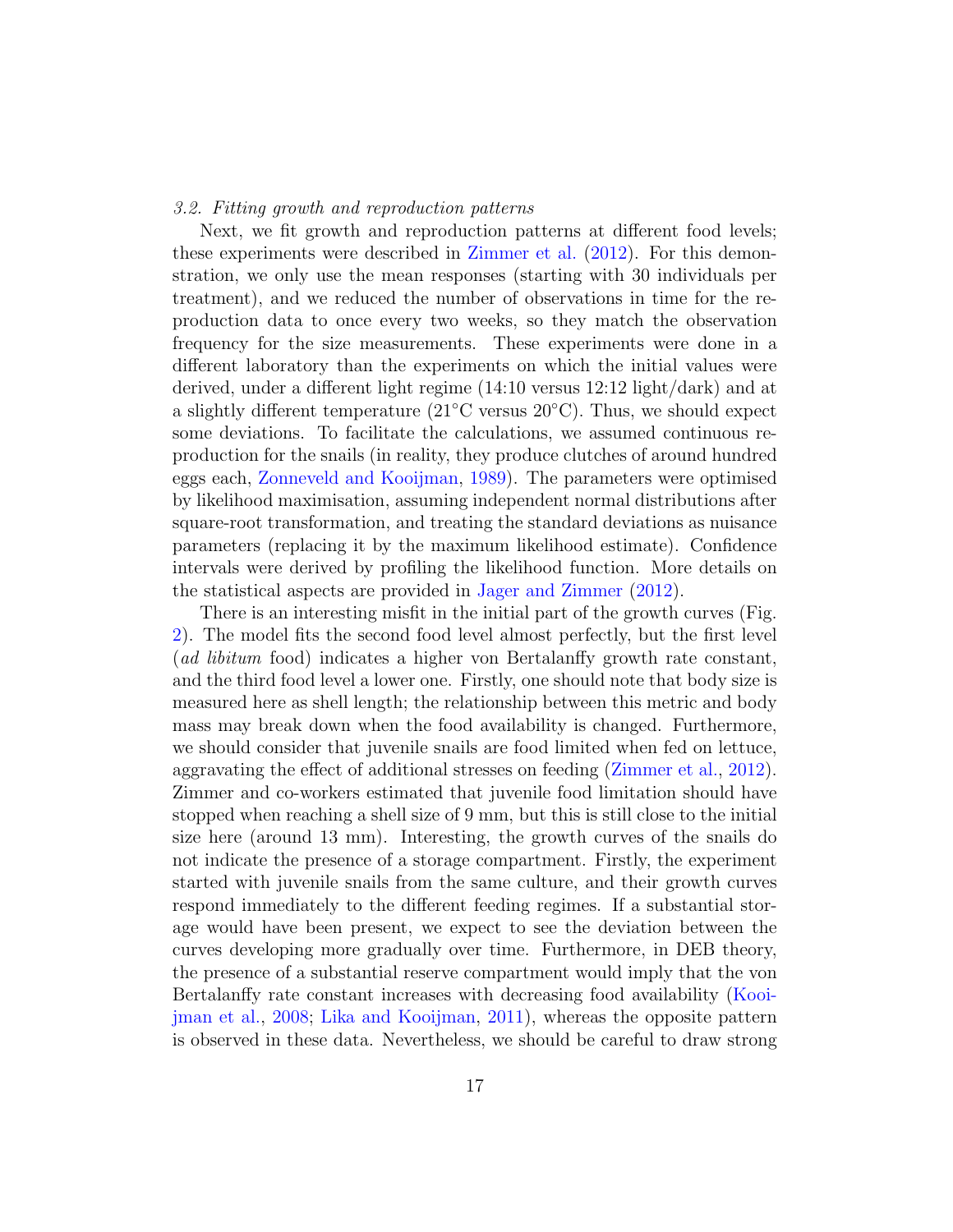## 3.2. Fitting growth and reproduction patterns

Next, we fit growth and reproduction patterns at different food levels; these experiments were described in [Zimmer et al.](#page-27-0) [\(2012\)](#page-27-0). For this demonstration, we only use the mean responses (starting with 30 individuals per treatment), and we reduced the number of observations in time for the reproduction data to once every two weeks, so they match the observation frequency for the size measurements. These experiments were done in a different laboratory than the experiments on which the initial values were derived, under a different light regime (14:10 versus 12:12 light/dark) and at a slightly different temperature ( $21^{\circ}$ C versus  $20^{\circ}$ C). Thus, we should expect some deviations. To facilitate the calculations, we assumed continuous reproduction for the snails (in reality, they produce clutches of around hundred eggs each, [Zonneveld and Kooijman,](#page-27-5) [1989\)](#page-27-5). The parameters were optimised by likelihood maximisation, assuming independent normal distributions after square-root transformation, and treating the standard deviations as nuisance parameters (replacing it by the maximum likelihood estimate). Confidence intervals were derived by profiling the likelihood function. More details on the statistical aspects are provided in [Jager and Zimmer](#page-25-4) [\(2012\)](#page-25-4).

There is an interesting misfit in the initial part of the growth curves (Fig. [2\)](#page-18-0). The model fits the second food level almost perfectly, but the first level (ad libitum food) indicates a higher von Bertalanffy growth rate constant, and the third food level a lower one. Firstly, one should note that body size is measured here as shell length; the relationship between this metric and body mass may break down when the food availability is changed. Furthermore, we should consider that juvenile snails are food limited when fed on lettuce, aggravating the effect of additional stresses on feeding [\(Zimmer et al.,](#page-27-0) [2012\)](#page-27-0). Zimmer and co-workers estimated that juvenile food limitation should have stopped when reaching a shell size of 9 mm, but this is still close to the initial size here (around 13 mm). Interesting, the growth curves of the snails do not indicate the presence of a storage compartment. Firstly, the experiment started with juvenile snails from the same culture, and their growth curves respond immediately to the different feeding regimes. If a substantial storage would have been present, we expect to see the deviation between the curves developing more gradually over time. Furthermore, in DEB theory, the presence of a substantial reserve compartment would imply that the von Bertalanffy rate constant increases with decreasing food availability [\(Kooi](#page-26-3)[jman et al.,](#page-26-3) [2008;](#page-26-3) [Lika and Kooijman,](#page-26-4) [2011\)](#page-26-4), whereas the opposite pattern is observed in these data. Nevertheless, we should be careful to draw strong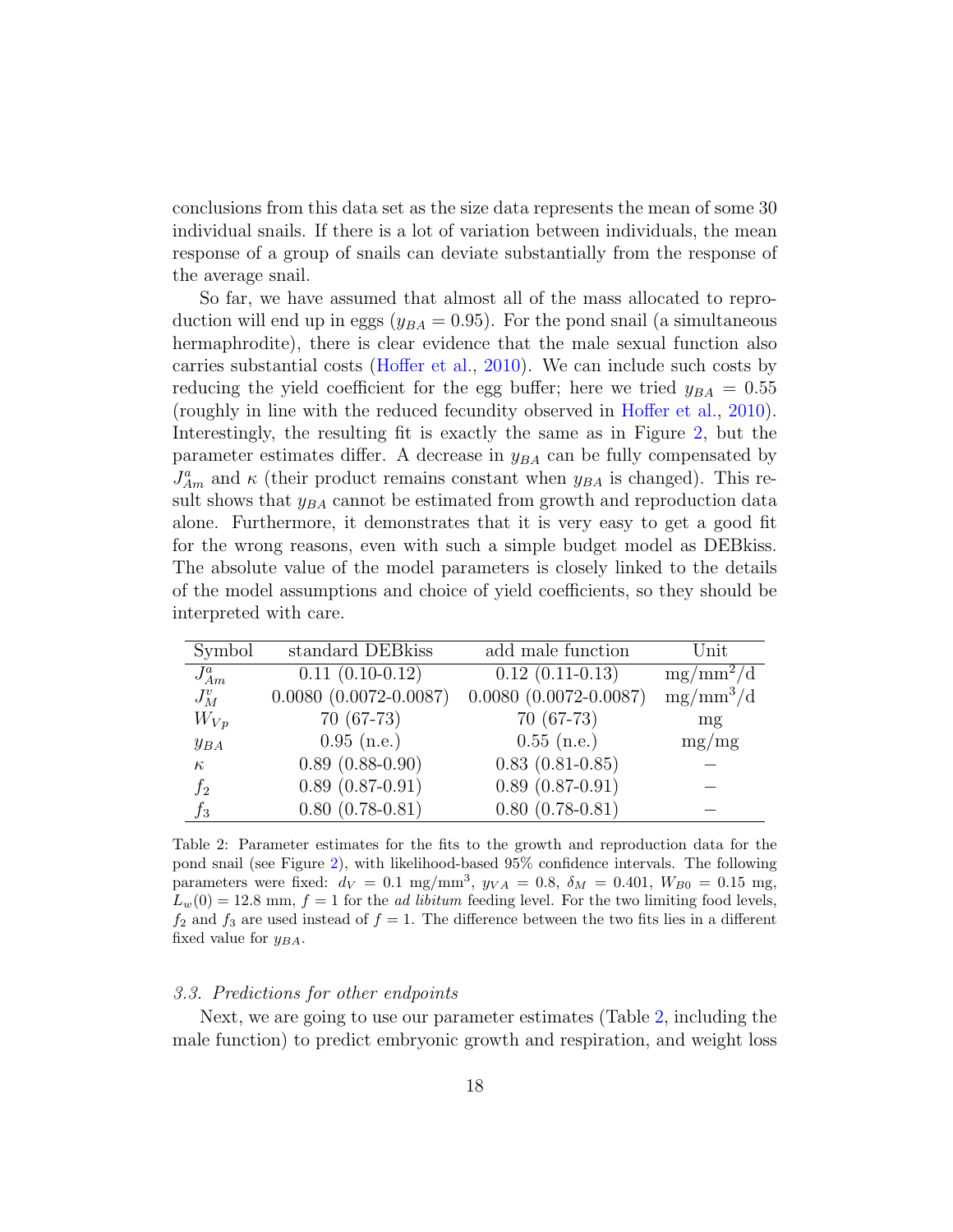conclusions from this data set as the size data represents the mean of some 30 individual snails. If there is a lot of variation between individuals, the mean response of a group of snails can deviate substantially from the response of the average snail.

So far, we have assumed that almost all of the mass allocated to reproduction will end up in eggs ( $y_{BA} = 0.95$ ). For the pond snail (a simultaneous hermaphrodite), there is clear evidence that the male sexual function also carries substantial costs [\(Hoffer et al.,](#page-25-9) [2010\)](#page-25-9). We can include such costs by reducing the yield coefficient for the egg buffer; here we tried  $y_{BA} = 0.55$ (roughly in line with the reduced fecundity observed in [Hoffer et al.,](#page-25-9) [2010\)](#page-25-9). Interestingly, the resulting fit is exactly the same as in Figure [2,](#page-18-0) but the parameter estimates differ. A decrease in  $y_{BA}$  can be fully compensated by  $J_{Am}^a$  and  $\kappa$  (their product remains constant when  $y_{BA}$  is changed). This result shows that  $y_{BA}$  cannot be estimated from growth and reproduction data alone. Furthermore, it demonstrates that it is very easy to get a good fit for the wrong reasons, even with such a simple budget model as DEBkiss. The absolute value of the model parameters is closely linked to the details of the model assumptions and choice of yield coefficients, so they should be interpreted with care.

| Symbol     | standard DEB kiss            | add male function            | Unit        |
|------------|------------------------------|------------------------------|-------------|
| $J_{Am}^a$ | $0.11(0.10-0.12)$            | $0.12(0.11-0.13)$            | $mg/mm^2/d$ |
| $J_M^v$    | $0.0080$ $(0.0072 - 0.0087)$ | $0.0080$ $(0.0072 - 0.0087)$ | $mg/mm^3/d$ |
| $W_{Vp}$   | $70(67-73)$                  | $70(67-73)$                  | mg          |
| $y_{BA}$   | $0.95$ (n.e.)                | $0.55$ (n.e.)                | mg/mg       |
| $\kappa$   | $0.89(0.88-0.90)$            | $0.83(0.81-0.85)$            |             |
| $f_2$      | $0.89(0.87-0.91)$            | $0.89(0.87-0.91)$            |             |
| $f_3$      | $0.80(0.78-0.81)$            | $0.80(0.78-0.81)$            |             |

<span id="page-17-1"></span>Table 2: Parameter estimates for the fits to the growth and reproduction data for the pond snail (see Figure [2\)](#page-18-0), with likelihood-based 95% confidence intervals. The following parameters were fixed:  $d_V = 0.1$  mg/mm<sup>3</sup>,  $y_{VA} = 0.8$ ,  $\delta_M = 0.401$ ,  $W_{B0} = 0.15$  mg,  $L_w(0) = 12.8$  mm,  $f = 1$  for the *ad libitum* feeding level. For the two limiting food levels,  $f_2$  and  $f_3$  are used instead of  $f = 1$ . The difference between the two fits lies in a different fixed value for  $y_{BA}$ .

## <span id="page-17-0"></span>3.3. Predictions for other endpoints

Next, we are going to use our parameter estimates (Table [2,](#page-17-1) including the male function) to predict embryonic growth and respiration, and weight loss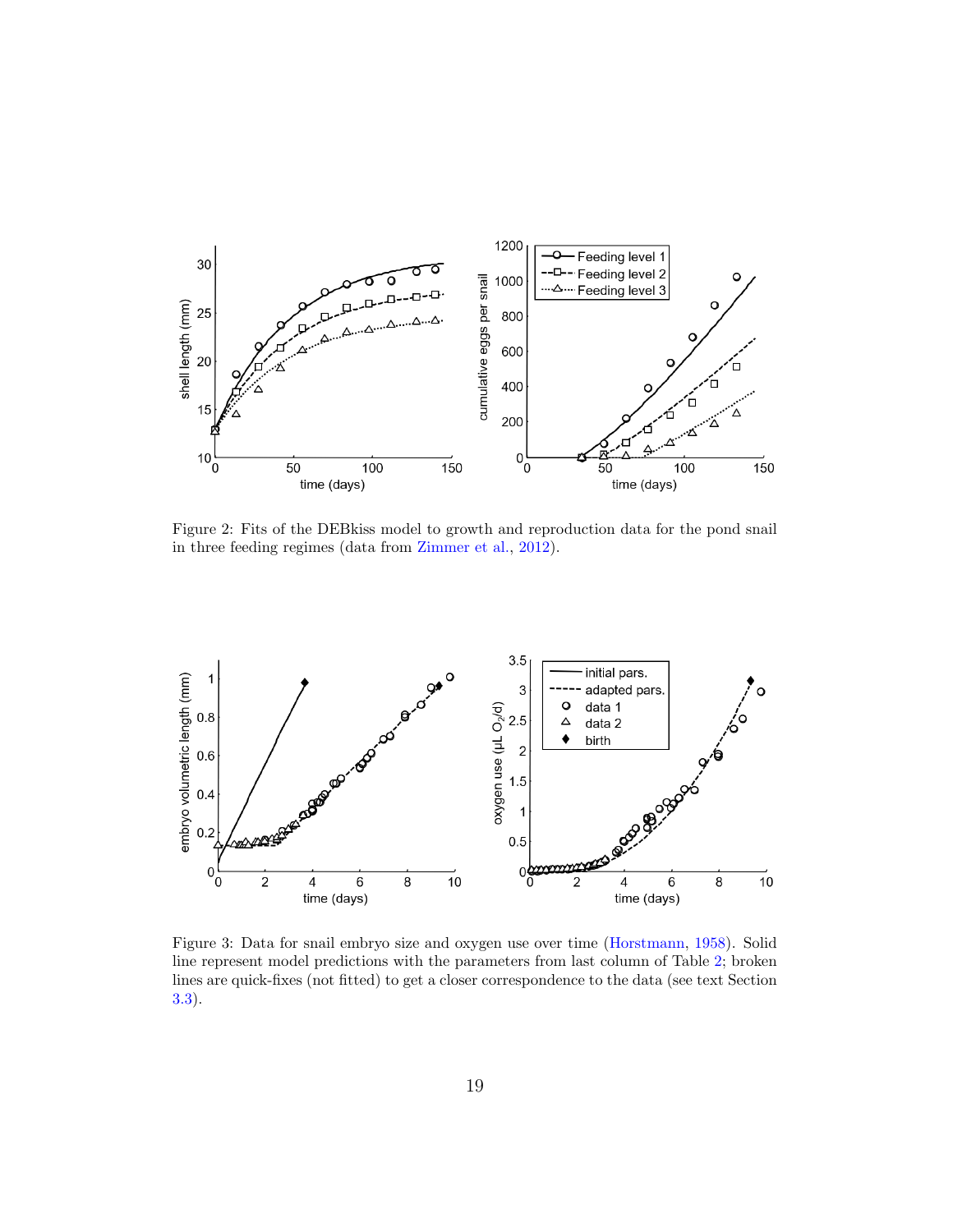

<span id="page-18-0"></span>Figure 2: Fits of the DEBkiss model to growth and reproduction data for the pond snail in three feeding regimes (data from [Zimmer et al.,](#page-27-0) [2012\)](#page-27-0).



<span id="page-18-1"></span>Figure 3: Data for snail embryo size and oxygen use over time [\(Horstmann,](#page-25-8) [1958\)](#page-25-8). Solid line represent model predictions with the parameters from last column of Table [2;](#page-17-1) broken lines are quick-fixes (not fitted) to get a closer correspondence to the data (see text Section [3.3\)](#page-17-0).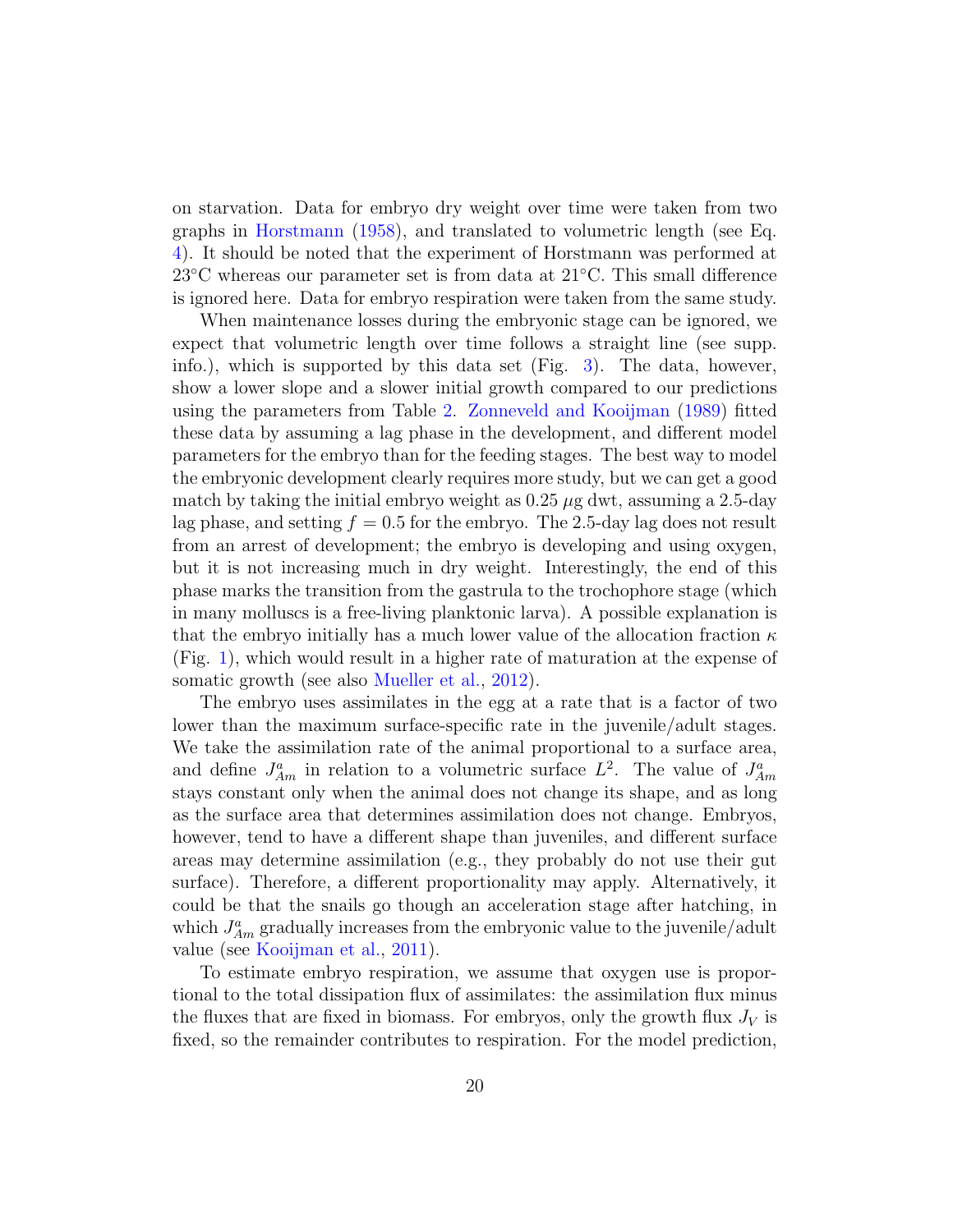on starvation. Data for embryo dry weight over time were taken from two graphs in [Horstmann](#page-25-8) [\(1958\)](#page-25-8), and translated to volumetric length (see Eq. [4\)](#page-6-0). It should be noted that the experiment of Horstmann was performed at 23◦C whereas our parameter set is from data at 21◦C. This small difference is ignored here. Data for embryo respiration were taken from the same study.

When maintenance losses during the embryonic stage can be ignored, we expect that volumetric length over time follows a straight line (see supp. info.), which is supported by this data set (Fig. [3\)](#page-18-1). The data, however, show a lower slope and a slower initial growth compared to our predictions using the parameters from Table [2.](#page-17-1) [Zonneveld and Kooijman](#page-27-5) [\(1989\)](#page-27-5) fitted these data by assuming a lag phase in the development, and different model parameters for the embryo than for the feeding stages. The best way to model the embryonic development clearly requires more study, but we can get a good match by taking the initial embryo weight as  $0.25 \mu$ g dwt, assuming a 2.5-day lag phase, and setting  $f = 0.5$  for the embryo. The 2.5-day lag does not result from an arrest of development; the embryo is developing and using oxygen, but it is not increasing much in dry weight. Interestingly, the end of this phase marks the transition from the gastrula to the trochophore stage (which in many molluscs is a free-living planktonic larva). A possible explanation is that the embryo initially has a much lower value of the allocation fraction  $\kappa$ (Fig. [1\)](#page-3-0), which would result in a higher rate of maturation at the expense of somatic growth (see also [Mueller et al.,](#page-27-6) [2012\)](#page-27-6).

The embryo uses assimilates in the egg at a rate that is a factor of two lower than the maximum surface-specific rate in the juvenile/adult stages. We take the assimilation rate of the animal proportional to a surface area, and define  $J_{Am}^a$  in relation to a volumetric surface  $L^2$ . The value of  $J_{Am}^a$ stays constant only when the animal does not change its shape, and as long as the surface area that determines assimilation does not change. Embryos, however, tend to have a different shape than juveniles, and different surface areas may determine assimilation (e.g., they probably do not use their gut surface). Therefore, a different proportionality may apply. Alternatively, it could be that the snails go though an acceleration stage after hatching, in which  $J_{Am}^a$  gradually increases from the embryonic value to the juvenile/adult value (see [Kooijman et al.,](#page-26-6) [2011\)](#page-26-6).

To estimate embryo respiration, we assume that oxygen use is proportional to the total dissipation flux of assimilates: the assimilation flux minus the fluxes that are fixed in biomass. For embryos, only the growth flux  $J_V$  is fixed, so the remainder contributes to respiration. For the model prediction,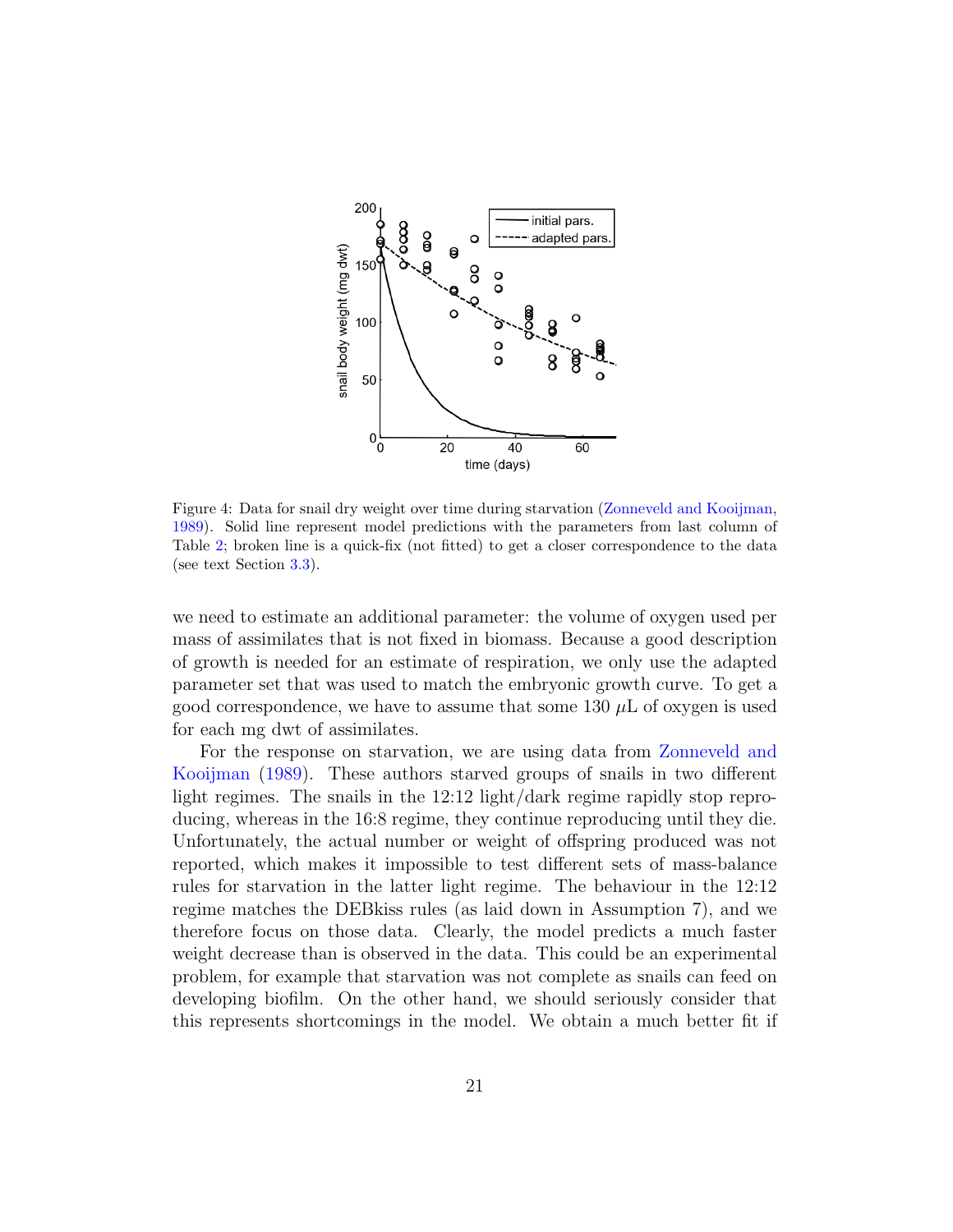

Figure 4: Data for snail dry weight over time during starvation [\(Zonneveld and Kooijman,](#page-27-5) [1989\)](#page-27-5). Solid line represent model predictions with the parameters from last column of Table [2;](#page-17-1) broken line is a quick-fix (not fitted) to get a closer correspondence to the data (see text Section [3.3\)](#page-17-0).

we need to estimate an additional parameter: the volume of oxygen used per mass of assimilates that is not fixed in biomass. Because a good description of growth is needed for an estimate of respiration, we only use the adapted parameter set that was used to match the embryonic growth curve. To get a good correspondence, we have to assume that some 130  $\mu$ L of oxygen is used for each mg dwt of assimilates.

For the response on starvation, we are using data from [Zonneveld and](#page-27-5) [Kooijman](#page-27-5) [\(1989\)](#page-27-5). These authors starved groups of snails in two different light regimes. The snails in the 12:12 light/dark regime rapidly stop reproducing, whereas in the 16:8 regime, they continue reproducing until they die. Unfortunately, the actual number or weight of offspring produced was not reported, which makes it impossible to test different sets of mass-balance rules for starvation in the latter light regime. The behaviour in the 12:12 regime matches the DEBkiss rules (as laid down in Assumption 7), and we therefore focus on those data. Clearly, the model predicts a much faster weight decrease than is observed in the data. This could be an experimental problem, for example that starvation was not complete as snails can feed on developing biofilm. On the other hand, we should seriously consider that this represents shortcomings in the model. We obtain a much better fit if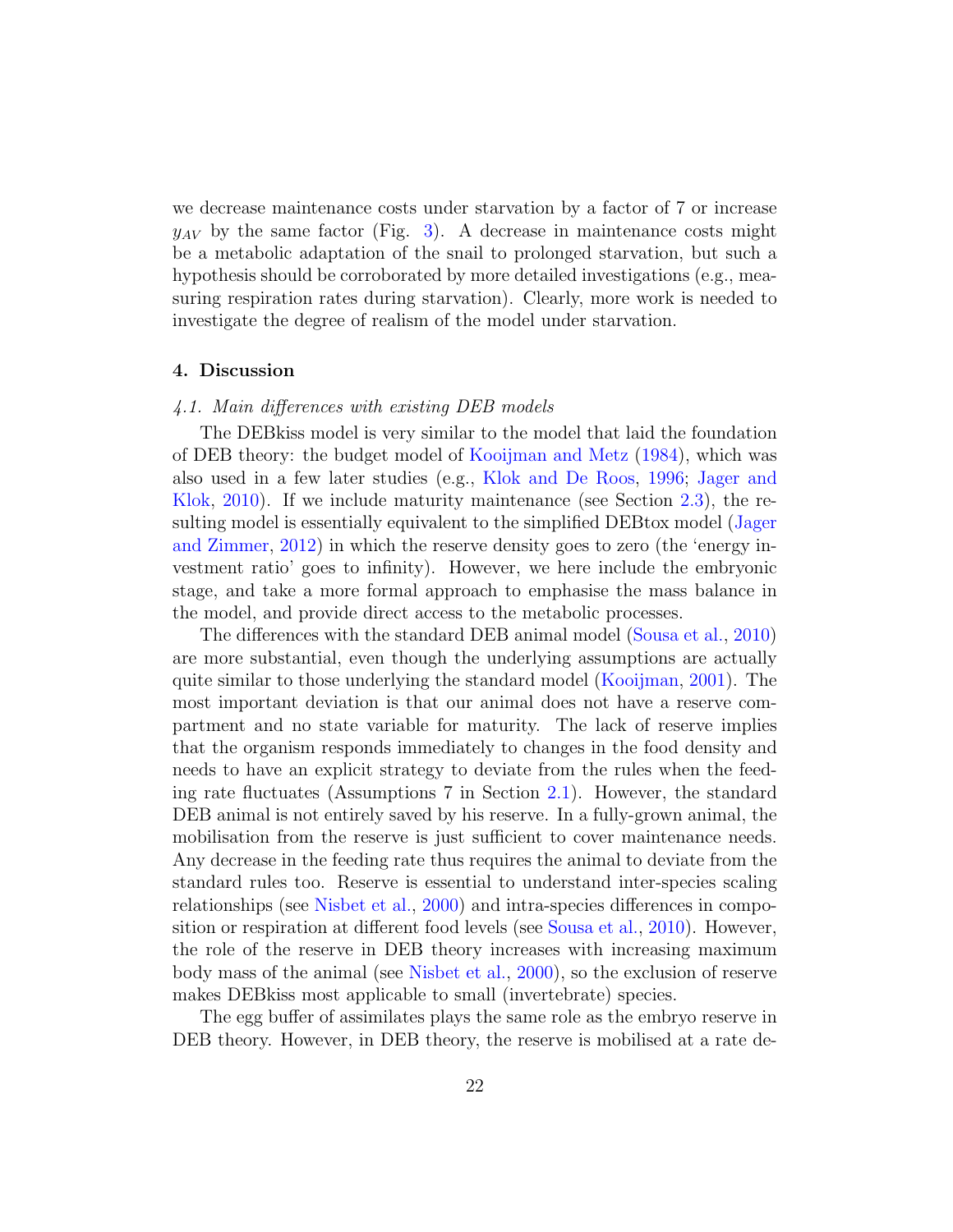we decrease maintenance costs under starvation by a factor of 7 or increase  $y_{AV}$  by the same factor (Fig. [3\)](#page-18-1). A decrease in maintenance costs might be a metabolic adaptation of the snail to prolonged starvation, but such a hypothesis should be corroborated by more detailed investigations (e.g., measuring respiration rates during starvation). Clearly, more work is needed to investigate the degree of realism of the model under starvation.

## 4. Discussion

# 4.1. Main differences with existing DEB models

The DEBkiss model is very similar to the model that laid the foundation of DEB theory: the budget model of [Kooijman and Metz](#page-26-8) [\(1984\)](#page-26-8), which was also used in a few later studies (e.g., [Klok and De Roos,](#page-25-5) [1996;](#page-25-5) [Jager and](#page-25-1) [Klok,](#page-25-1) [2010\)](#page-25-1). If we include maturity maintenance (see Section [2.3\)](#page-12-2), the resulting model is essentially equivalent to the simplified DEBtox model [\(Jager](#page-25-4) [and Zimmer,](#page-25-4) [2012\)](#page-25-4) in which the reserve density goes to zero (the 'energy investment ratio' goes to infinity). However, we here include the embryonic stage, and take a more formal approach to emphasise the mass balance in the model, and provide direct access to the metabolic processes.

The differences with the standard DEB animal model [\(Sousa et al.,](#page-27-1) [2010\)](#page-27-1) are more substantial, even though the underlying assumptions are actually quite similar to those underlying the standard model [\(Kooijman,](#page-25-2) [2001\)](#page-25-2). The most important deviation is that our animal does not have a reserve compartment and no state variable for maturity. The lack of reserve implies that the organism responds immediately to changes in the food density and needs to have an explicit strategy to deviate from the rules when the feeding rate fluctuates (Assumptions 7 in Section [2.1\)](#page-3-1). However, the standard DEB animal is not entirely saved by his reserve. In a fully-grown animal, the mobilisation from the reserve is just sufficient to cover maintenance needs. Any decrease in the feeding rate thus requires the animal to deviate from the standard rules too. Reserve is essential to understand inter-species scaling relationships (see [Nisbet et al.,](#page-27-2) [2000\)](#page-27-2) and intra-species differences in composition or respiration at different food levels (see [Sousa et al.,](#page-27-1) [2010\)](#page-27-1). However, the role of the reserve in DEB theory increases with increasing maximum body mass of the animal (see [Nisbet et al.,](#page-27-2) [2000\)](#page-27-2), so the exclusion of reserve makes DEBkiss most applicable to small (invertebrate) species.

The egg buffer of assimilates plays the same role as the embryo reserve in DEB theory. However, in DEB theory, the reserve is mobilised at a rate de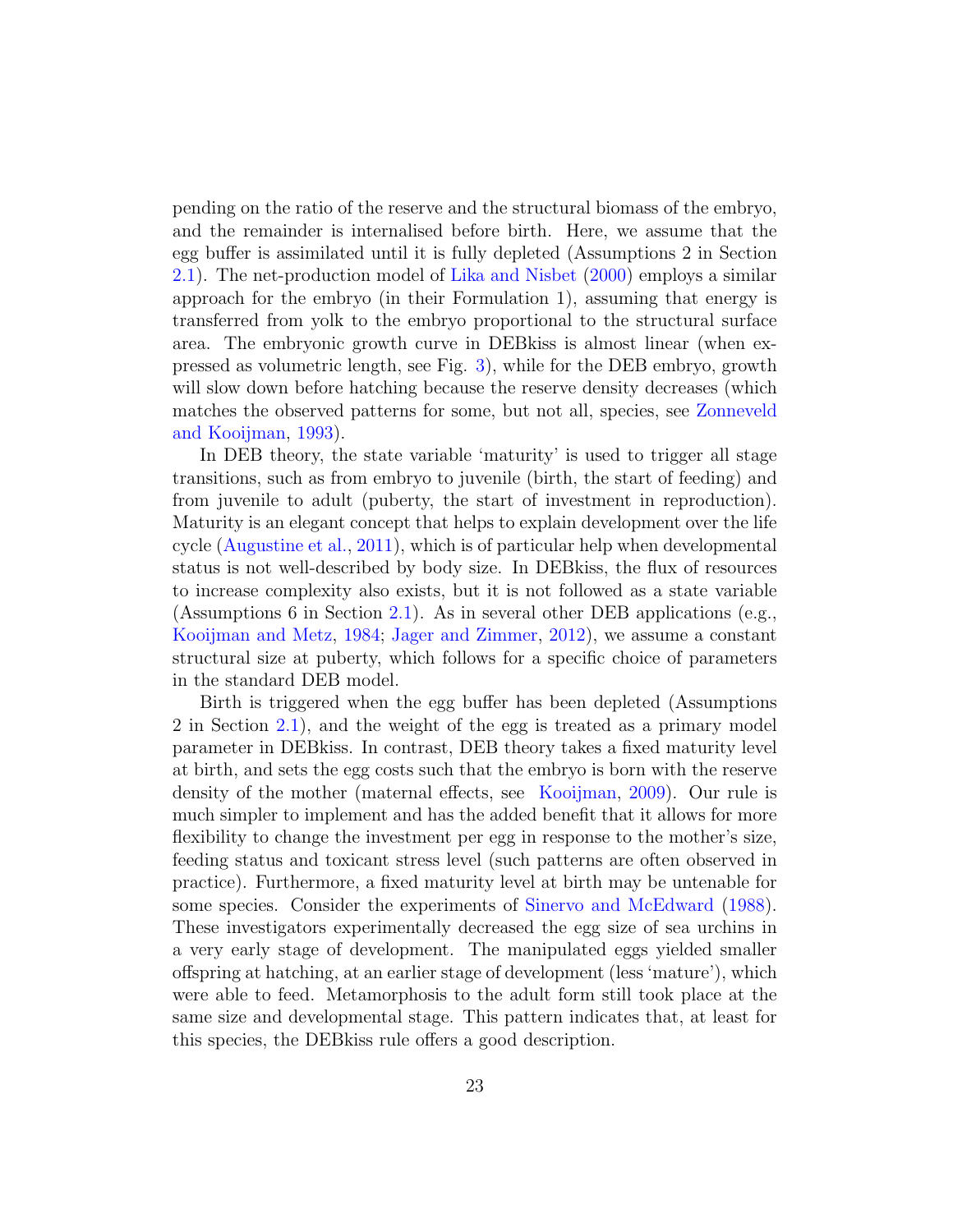pending on the ratio of the reserve and the structural biomass of the embryo, and the remainder is internalised before birth. Here, we assume that the egg buffer is assimilated until it is fully depleted (Assumptions 2 in Section [2.1\)](#page-3-1). The net-production model of [Lika and Nisbet](#page-26-5) [\(2000\)](#page-26-5) employs a similar approach for the embryo (in their Formulation 1), assuming that energy is transferred from yolk to the embryo proportional to the structural surface area. The embryonic growth curve in DEBkiss is almost linear (when expressed as volumetric length, see Fig. [3\)](#page-18-1), while for the DEB embryo, growth will slow down before hatching because the reserve density decreases (which matches the observed patterns for some, but not all, species, see [Zonneveld](#page-27-7) [and Kooijman,](#page-27-7) [1993\)](#page-27-7).

In DEB theory, the state variable 'maturity' is used to trigger all stage transitions, such as from embryo to juvenile (birth, the start of feeding) and from juvenile to adult (puberty, the start of investment in reproduction). Maturity is an elegant concept that helps to explain development over the life cycle [\(Augustine et al.,](#page-24-1) [2011\)](#page-24-1), which is of particular help when developmental status is not well-described by body size. In DEBkiss, the flux of resources to increase complexity also exists, but it is not followed as a state variable (Assumptions 6 in Section [2.1\)](#page-3-1). As in several other DEB applications (e.g., [Kooijman and Metz,](#page-26-8) [1984;](#page-26-8) [Jager and Zimmer,](#page-25-4) [2012\)](#page-25-4), we assume a constant structural size at puberty, which follows for a specific choice of parameters in the standard DEB model.

Birth is triggered when the egg buffer has been depleted (Assumptions 2 in Section [2.1\)](#page-3-1), and the weight of the egg is treated as a primary model parameter in DEBkiss. In contrast, DEB theory takes a fixed maturity level at birth, and sets the egg costs such that the embryo is born with the reserve density of the mother (maternal effects, see [Kooijman,](#page-26-1) [2009\)](#page-26-1). Our rule is much simpler to implement and has the added benefit that it allows for more flexibility to change the investment per egg in response to the mother's size, feeding status and toxicant stress level (such patterns are often observed in practice). Furthermore, a fixed maturity level at birth may be untenable for some species. Consider the experiments of [Sinervo and McEdward](#page-27-8) [\(1988\)](#page-27-8). These investigators experimentally decreased the egg size of sea urchins in a very early stage of development. The manipulated eggs yielded smaller offspring at hatching, at an earlier stage of development (less 'mature'), which were able to feed. Metamorphosis to the adult form still took place at the same size and developmental stage. This pattern indicates that, at least for this species, the DEBkiss rule offers a good description.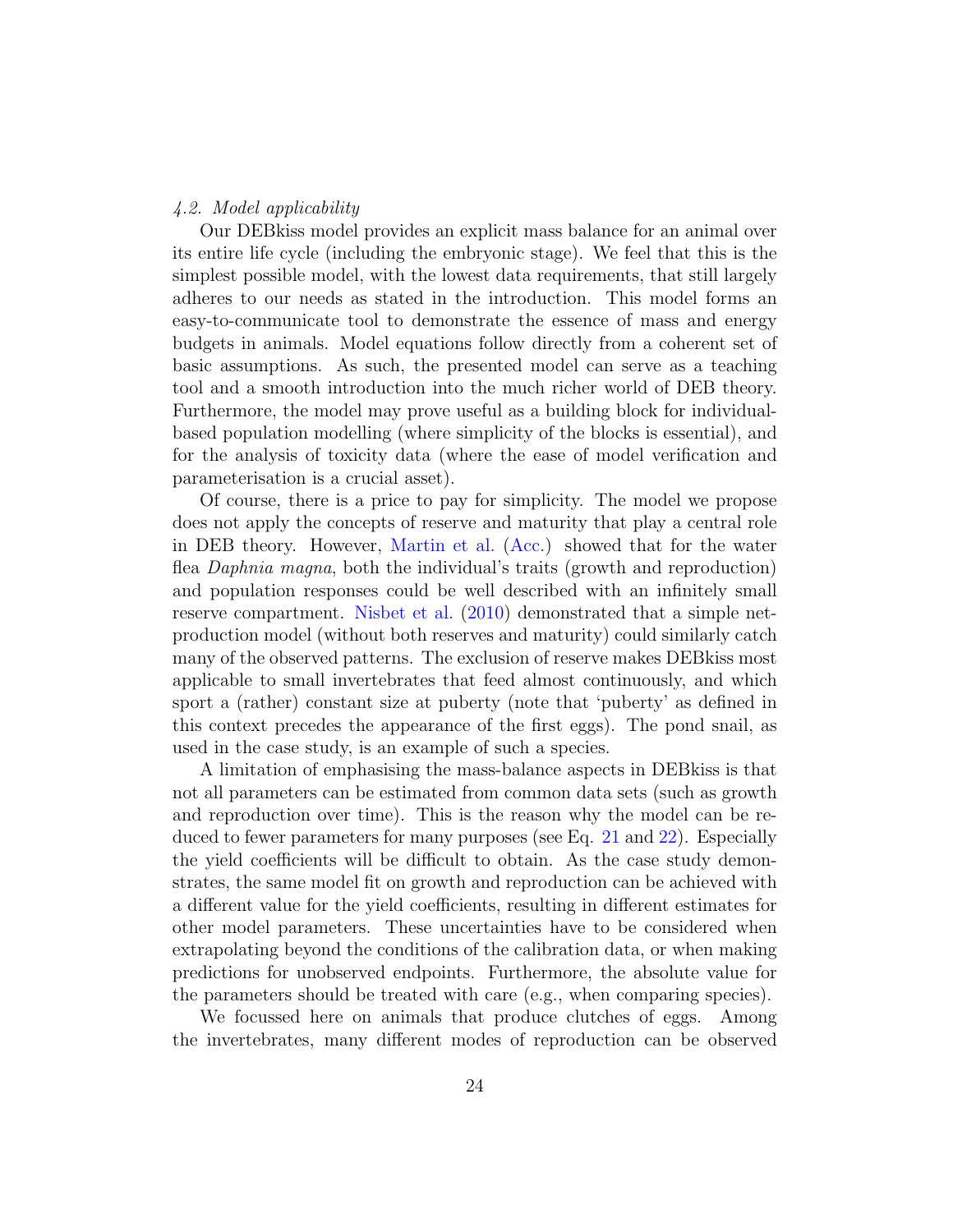## 4.2. Model applicability

Our DEBkiss model provides an explicit mass balance for an animal over its entire life cycle (including the embryonic stage). We feel that this is the simplest possible model, with the lowest data requirements, that still largely adheres to our needs as stated in the introduction. This model forms an easy-to-communicate tool to demonstrate the essence of mass and energy budgets in animals. Model equations follow directly from a coherent set of basic assumptions. As such, the presented model can serve as a teaching tool and a smooth introduction into the much richer world of DEB theory. Furthermore, the model may prove useful as a building block for individualbased population modelling (where simplicity of the blocks is essential), and for the analysis of toxicity data (where the ease of model verification and parameterisation is a crucial asset).

Of course, there is a price to pay for simplicity. The model we propose does not apply the concepts of reserve and maturity that play a central role in DEB theory. However, [Martin et al.](#page-26-7) [\(Acc.\)](#page-26-7) showed that for the water flea Daphnia magna, both the individual's traits (growth and reproduction) and population responses could be well described with an infinitely small reserve compartment. [Nisbet et al.](#page-27-3) [\(2010\)](#page-27-3) demonstrated that a simple netproduction model (without both reserves and maturity) could similarly catch many of the observed patterns. The exclusion of reserve makes DEBkiss most applicable to small invertebrates that feed almost continuously, and which sport a (rather) constant size at puberty (note that 'puberty' as defined in this context precedes the appearance of the first eggs). The pond snail, as used in the case study, is an example of such a species.

A limitation of emphasising the mass-balance aspects in DEBkiss is that not all parameters can be estimated from common data sets (such as growth and reproduction over time). This is the reason why the model can be re-duced to fewer parameters for many purposes (see Eq. [21](#page-12-3) and [22\)](#page-12-4). Especially the yield coefficients will be difficult to obtain. As the case study demonstrates, the same model fit on growth and reproduction can be achieved with a different value for the yield coefficients, resulting in different estimates for other model parameters. These uncertainties have to be considered when extrapolating beyond the conditions of the calibration data, or when making predictions for unobserved endpoints. Furthermore, the absolute value for the parameters should be treated with care (e.g., when comparing species).

We focussed here on animals that produce clutches of eggs. Among the invertebrates, many different modes of reproduction can be observed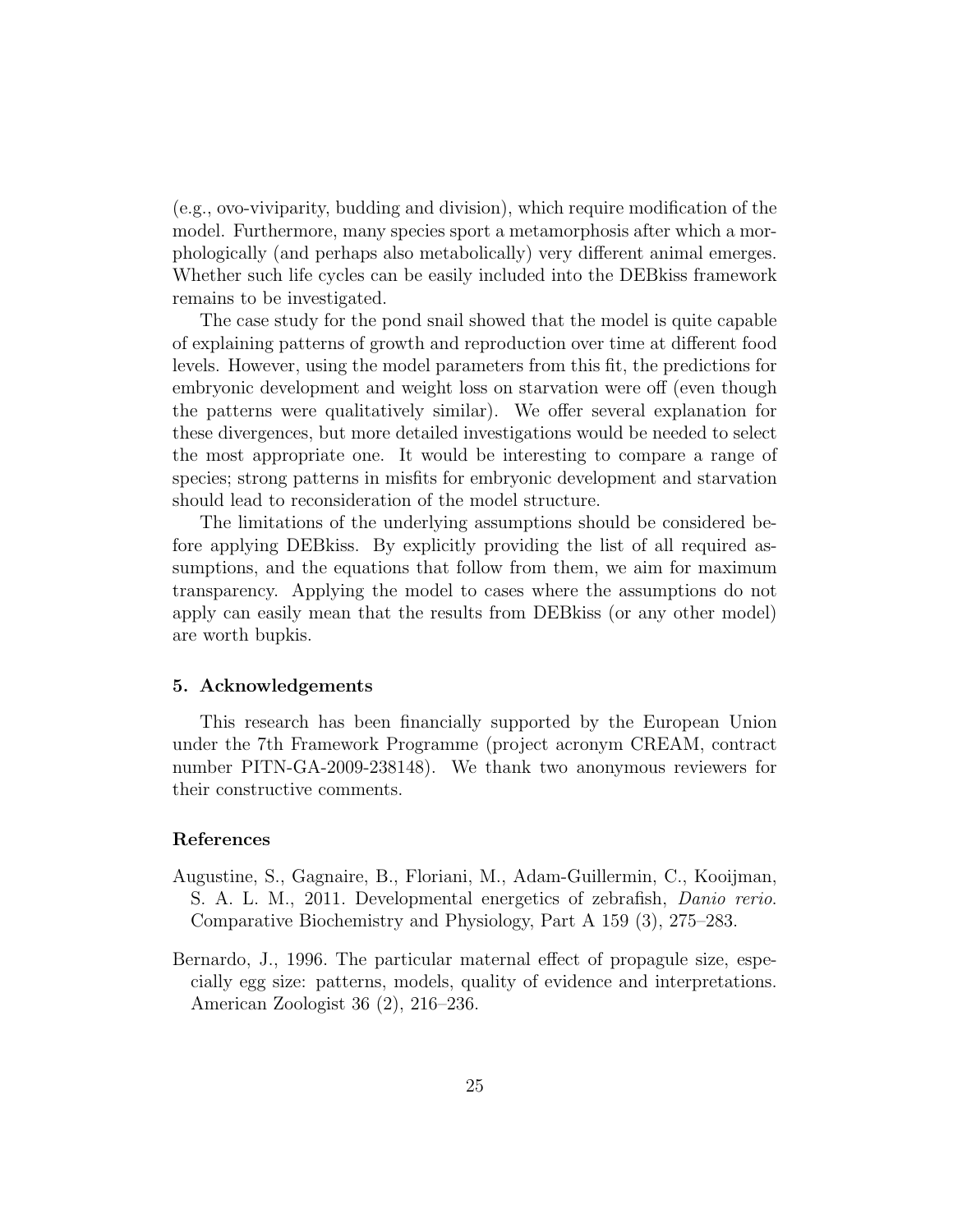(e.g., ovo-viviparity, budding and division), which require modification of the model. Furthermore, many species sport a metamorphosis after which a morphologically (and perhaps also metabolically) very different animal emerges. Whether such life cycles can be easily included into the DEBkiss framework remains to be investigated.

The case study for the pond snail showed that the model is quite capable of explaining patterns of growth and reproduction over time at different food levels. However, using the model parameters from this fit, the predictions for embryonic development and weight loss on starvation were off (even though the patterns were qualitatively similar). We offer several explanation for these divergences, but more detailed investigations would be needed to select the most appropriate one. It would be interesting to compare a range of species; strong patterns in misfits for embryonic development and starvation should lead to reconsideration of the model structure.

The limitations of the underlying assumptions should be considered before applying DEBkiss. By explicitly providing the list of all required assumptions, and the equations that follow from them, we aim for maximum transparency. Applying the model to cases where the assumptions do not apply can easily mean that the results from DEBkiss (or any other model) are worth bupkis.

## 5. Acknowledgements

This research has been financially supported by the European Union under the 7th Framework Programme (project acronym CREAM, contract number PITN-GA-2009-238148). We thank two anonymous reviewers for their constructive comments.

#### References

- <span id="page-24-1"></span>Augustine, S., Gagnaire, B., Floriani, M., Adam-Guillermin, C., Kooijman, S. A. L. M., 2011. Developmental energetics of zebrafish, Danio rerio. Comparative Biochemistry and Physiology, Part A 159 (3), 275–283.
- <span id="page-24-0"></span>Bernardo, J., 1996. The particular maternal effect of propagule size, especially egg size: patterns, models, quality of evidence and interpretations. American Zoologist 36 (2), 216–236.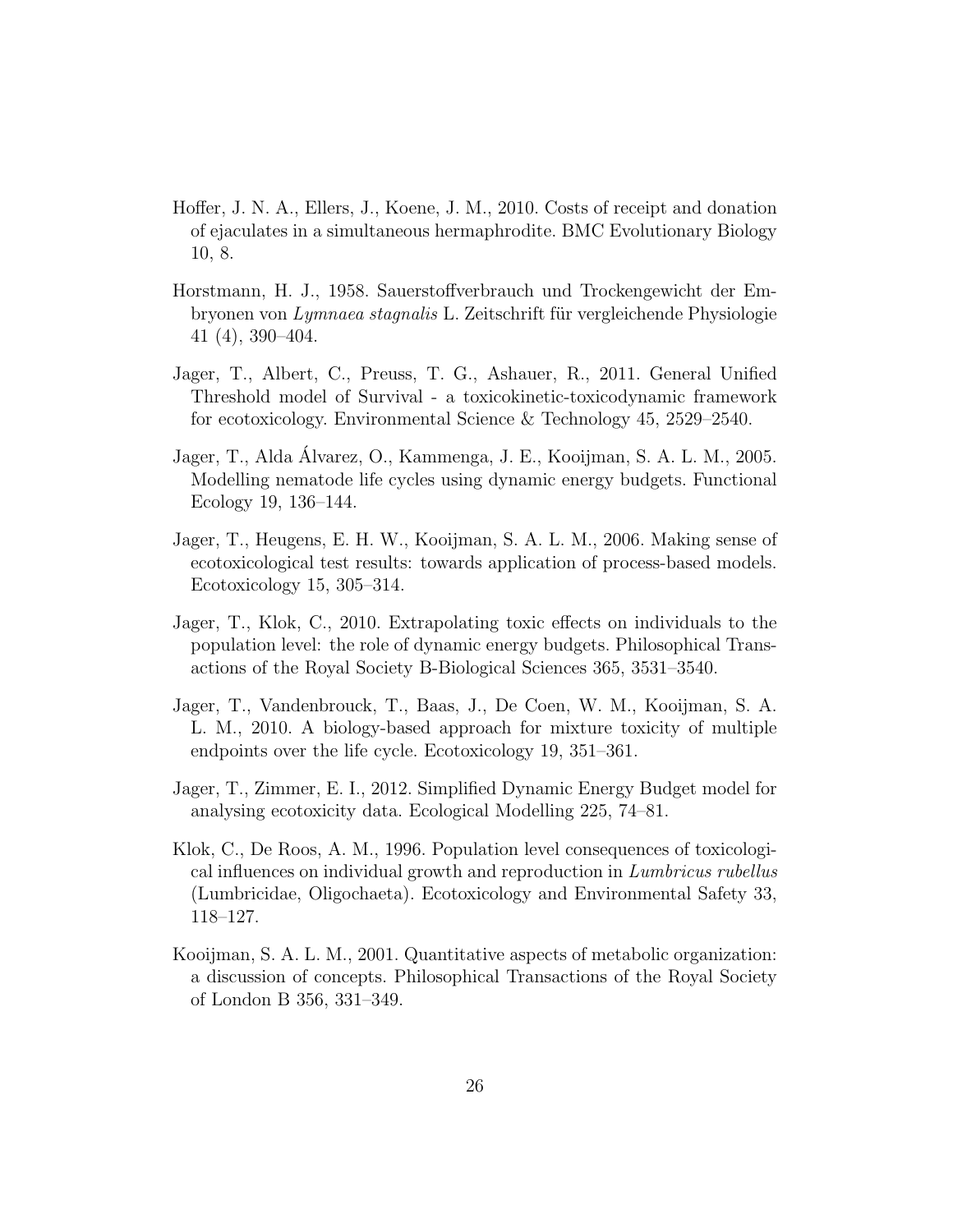- <span id="page-25-9"></span>Hoffer, J. N. A., Ellers, J., Koene, J. M., 2010. Costs of receipt and donation of ejaculates in a simultaneous hermaphrodite. BMC Evolutionary Biology 10, 8.
- <span id="page-25-8"></span>Horstmann, H. J., 1958. Sauerstoffverbrauch und Trockengewicht der Embryonen von Lymnaea stagnalis L. Zeitschrift für vergleichende Physiologie 41 (4), 390–404.
- <span id="page-25-6"></span>Jager, T., Albert, C., Preuss, T. G., Ashauer, R., 2011. General Unified Threshold model of Survival - a toxicokinetic-toxicodynamic framework for ecotoxicology. Environmental Science & Technology 45, 2529–2540.
- <span id="page-25-7"></span>Jager, T., Alda Alvarez, O., Kammenga, J. E., Kooijman, S. A. L. M., 2005. ´ Modelling nematode life cycles using dynamic energy budgets. Functional Ecology 19, 136–144.
- <span id="page-25-0"></span>Jager, T., Heugens, E. H. W., Kooijman, S. A. L. M., 2006. Making sense of ecotoxicological test results: towards application of process-based models. Ecotoxicology 15, 305–314.
- <span id="page-25-1"></span>Jager, T., Klok, C., 2010. Extrapolating toxic effects on individuals to the population level: the role of dynamic energy budgets. Philosophical Transactions of the Royal Society B-Biological Sciences 365, 3531–3540.
- <span id="page-25-3"></span>Jager, T., Vandenbrouck, T., Baas, J., De Coen, W. M., Kooijman, S. A. L. M., 2010. A biology-based approach for mixture toxicity of multiple endpoints over the life cycle. Ecotoxicology 19, 351–361.
- <span id="page-25-4"></span>Jager, T., Zimmer, E. I., 2012. Simplified Dynamic Energy Budget model for analysing ecotoxicity data. Ecological Modelling 225, 74–81.
- <span id="page-25-5"></span>Klok, C., De Roos, A. M., 1996. Population level consequences of toxicological influences on individual growth and reproduction in Lumbricus rubellus (Lumbricidae, Oligochaeta). Ecotoxicology and Environmental Safety 33, 118–127.
- <span id="page-25-2"></span>Kooijman, S. A. L. M., 2001. Quantitative aspects of metabolic organization: a discussion of concepts. Philosophical Transactions of the Royal Society of London B 356, 331–349.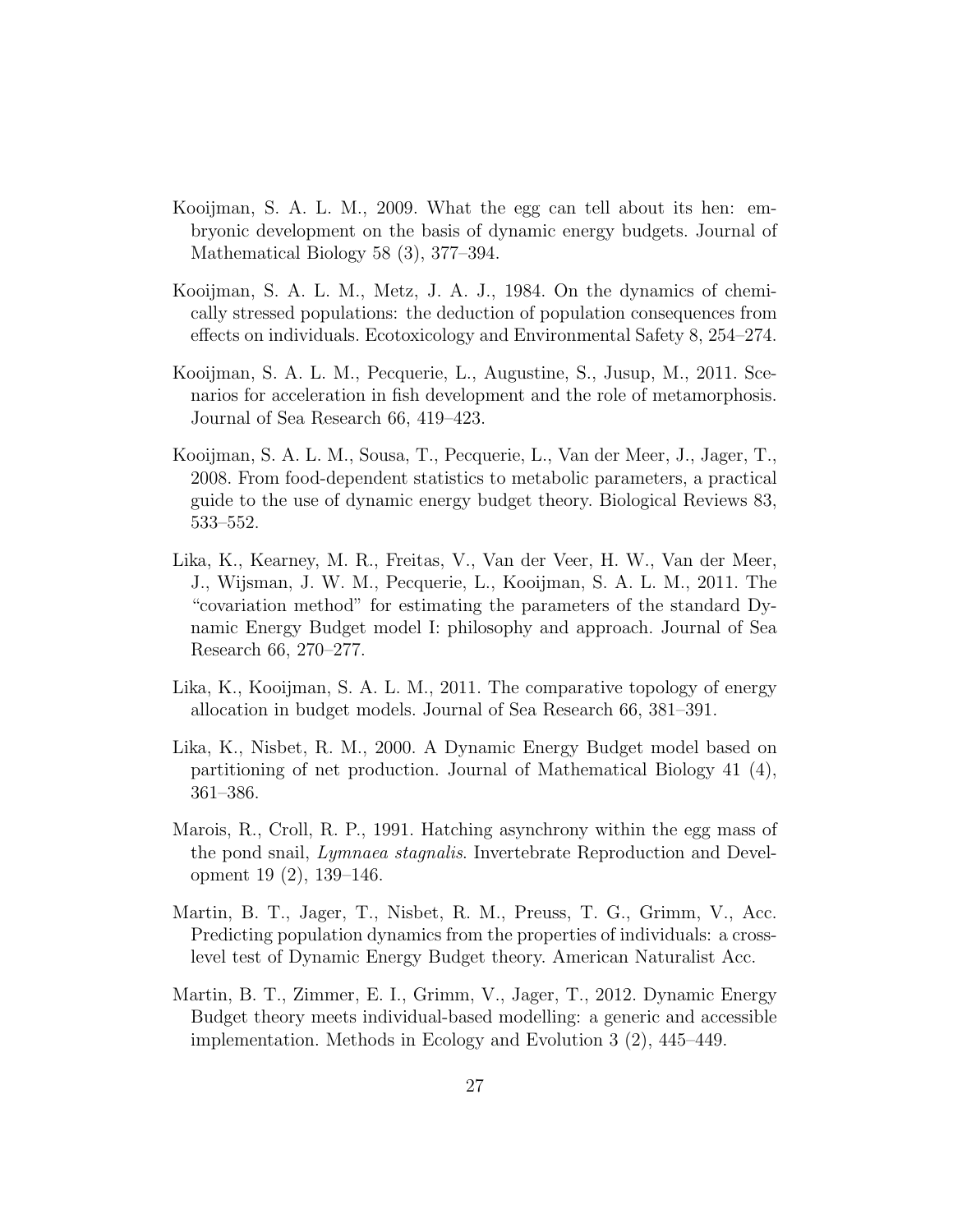- <span id="page-26-1"></span>Kooijman, S. A. L. M., 2009. What the egg can tell about its hen: embryonic development on the basis of dynamic energy budgets. Journal of Mathematical Biology 58 (3), 377–394.
- <span id="page-26-8"></span>Kooijman, S. A. L. M., Metz, J. A. J., 1984. On the dynamics of chemically stressed populations: the deduction of population consequences from effects on individuals. Ecotoxicology and Environmental Safety 8, 254–274.
- <span id="page-26-6"></span>Kooijman, S. A. L. M., Pecquerie, L., Augustine, S., Jusup, M., 2011. Scenarios for acceleration in fish development and the role of metamorphosis. Journal of Sea Research 66, 419–423.
- <span id="page-26-3"></span>Kooijman, S. A. L. M., Sousa, T., Pecquerie, L., Van der Meer, J., Jager, T., 2008. From food-dependent statistics to metabolic parameters, a practical guide to the use of dynamic energy budget theory. Biological Reviews 83, 533–552.
- <span id="page-26-2"></span>Lika, K., Kearney, M. R., Freitas, V., Van der Veer, H. W., Van der Meer, J., Wijsman, J. W. M., Pecquerie, L., Kooijman, S. A. L. M., 2011. The "covariation method" for estimating the parameters of the standard Dynamic Energy Budget model I: philosophy and approach. Journal of Sea Research 66, 270–277.
- <span id="page-26-4"></span>Lika, K., Kooijman, S. A. L. M., 2011. The comparative topology of energy allocation in budget models. Journal of Sea Research 66, 381–391.
- <span id="page-26-5"></span>Lika, K., Nisbet, R. M., 2000. A Dynamic Energy Budget model based on partitioning of net production. Journal of Mathematical Biology 41 (4), 361–386.
- <span id="page-26-9"></span>Marois, R., Croll, R. P., 1991. Hatching asynchrony within the egg mass of the pond snail, Lymnaea stagnalis. Invertebrate Reproduction and Development 19 (2), 139–146.
- <span id="page-26-7"></span>Martin, B. T., Jager, T., Nisbet, R. M., Preuss, T. G., Grimm, V., Acc. Predicting population dynamics from the properties of individuals: a crosslevel test of Dynamic Energy Budget theory. American Naturalist Acc.
- <span id="page-26-0"></span>Martin, B. T., Zimmer, E. I., Grimm, V., Jager, T., 2012. Dynamic Energy Budget theory meets individual-based modelling: a generic and accessible implementation. Methods in Ecology and Evolution 3 (2), 445–449.